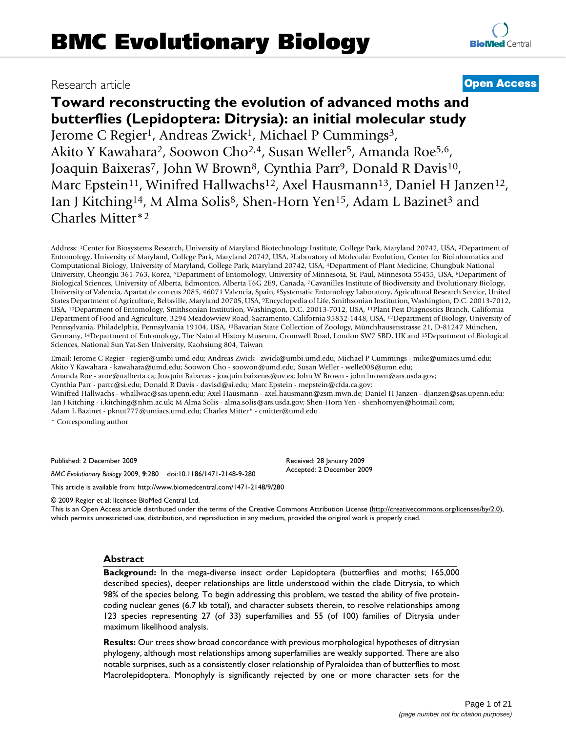# Research article **[Open Access](http://www.biomedcentral.com/info/about/charter/)**

# **Toward reconstructing the evolution of advanced moths and butterflies (Lepidoptera: Ditrysia): an initial molecular study**

Jerome C Regier<sup>1</sup>, Andreas Zwick<sup>1</sup>, Michael P Cummings<sup>3</sup>, Akito Y Kawahara<sup>2</sup>, Soowon Cho<sup>2,4</sup>, Susan Weller<sup>5</sup>, Amanda Roe<sup>5,6</sup>, Joaquin Baixeras<sup>7</sup>, John W Brown<sup>8</sup>, Cynthia Parr<sup>9</sup>, Donald R Davis<sup>10</sup>, Marc Epstein<sup>11</sup>, Winifred Hallwachs<sup>12</sup>, Axel Hausmann<sup>13</sup>, Daniel H Janzen<sup>12</sup>, Ian J Kitching<sup>14</sup>, M Alma Solis<sup>8</sup>, Shen-Horn Yen<sup>15</sup>, Adam L Bazinet<sup>3</sup> and Charles Mitter\*2

Address: 1Center for Biosystems Research, University of Maryland Biotechnology Institute, College Park, Maryland 20742, USA, 2Department of Entomology, University of Maryland, College Park, Maryland 20742, USA, 3Laboratory of Molecular Evolution, Center for Bioinformatics and Computational Biology, University of Maryland, College Park, Maryland 20742, USA, 4Department of Plant Medicine, Chungbuk National University, Cheongju 361-763, Korea, 5Department of Entomology, University of Minnesota, St. Paul, Minnesota 55455, USA, 6Department of Biological Sciences, University of Alberta, Edmonton, Alberta T6G 2E9, Canada, 7Cavanilles Institute of Biodiversity and Evolutionary Biology, University of Valencia, Apartat de correus 2085, 46071 Valencia, Spain, 8Systematic Entomology Laboratory, Agricultural Research Service, United States Department of Agriculture, Beltsville, Maryland 20705, USA, 9Encyclopedia of Life, Smithsonian Institution, Washington, D.C. 20013-7012, USA, 10Department of Entomology, Smithsonian Institution, Washington, D.C. 20013-7012, USA, 11Plant Pest Diagnostics Branch, California Department of Food and Agriculture, 3294 Meadowview Road, Sacramento, California 95832-1448, USA, 12Department of Biology, University of Pennsylvania, Philadelphia, Pennsylvania 19104, USA, 13Bavarian State Collection of Zoology, Münchhausenstrasse 21, D-81247 München, Germany, 14Department of Entomology, The Natural History Museum, Cromwell Road, London SW7 5BD, UK and 15Department of Biological Sciences, National Sun Yat-Sen University, Kaohsiung 804, Taiwan

Email: Jerome C Regier - regier@umbi.umd.edu; Andreas Zwick - zwick@umbi.umd.edu; Michael P Cummings - mike@umiacs.umd.edu; Akito Y Kawahara - kawahara@umd.edu; Soowon Cho - soowon@umd.edu; Susan Weller - welle008@umn.edu; Amanda Roe - aroe@ualberta.ca; Joaquin Baixeras - joaquin.baixeras@uv.es; John W Brown - john.brown@ars.usda.gov; Cynthia Parr - parrc@si.edu; Donald R Davis - davisd@si.edu; Marc Epstein - mepstein@cfda.ca.gov; Winifred Hallwachs - whallwac@sas.upenn.edu; Axel Hausmann - axel.hausmann@zsm.mwn.de; Daniel H Janzen - djanzen@sas.upenn.edu; Ian J Kitching - i.kitching@nhm.ac.uk; M Alma Solis - alma.solis@ars.usda.gov; Shen-Horn Yen - shenhornyen@hotmail.com; Adam L Bazinet - pknut777@umiacs.umd.edu; Charles Mitter\* - cmitter@umd.edu

\* Corresponding author

Published: 2 December 2009

Received: 28 January 2009 Accepted: 2 December 2009

*BMC Evolutionary Biology* 2009, **9**:280 doi:10.1186/1471-2148-9-280

[This article is available from: http://www.biomedcentral.com/1471-2148/9/280](http://www.biomedcentral.com/1471-2148/9/280)

© 2009 Regier et al; licensee BioMed Central Ltd.

This is an Open Access article distributed under the terms of the Creative Commons Attribution License [\(http://creativecommons.org/licenses/by/2.0\)](http://creativecommons.org/licenses/by/2.0), which permits unrestricted use, distribution, and reproduction in any medium, provided the original work is properly cited.

#### **Abstract**

**Background:** In the mega-diverse insect order Lepidoptera (butterflies and moths; 165,000 described species), deeper relationships are little understood within the clade Ditrysia, to which 98% of the species belong. To begin addressing this problem, we tested the ability of five proteincoding nuclear genes (6.7 kb total), and character subsets therein, to resolve relationships among 123 species representing 27 (of 33) superfamilies and 55 (of 100) families of Ditrysia under maximum likelihood analysis.

**Results:** Our trees show broad concordance with previous morphological hypotheses of ditrysian phylogeny, although most relationships among superfamilies are weakly supported. There are also notable surprises, such as a consistently closer relationship of Pyraloidea than of butterflies to most Macrolepidoptera. Monophyly is significantly rejected by one or more character sets for the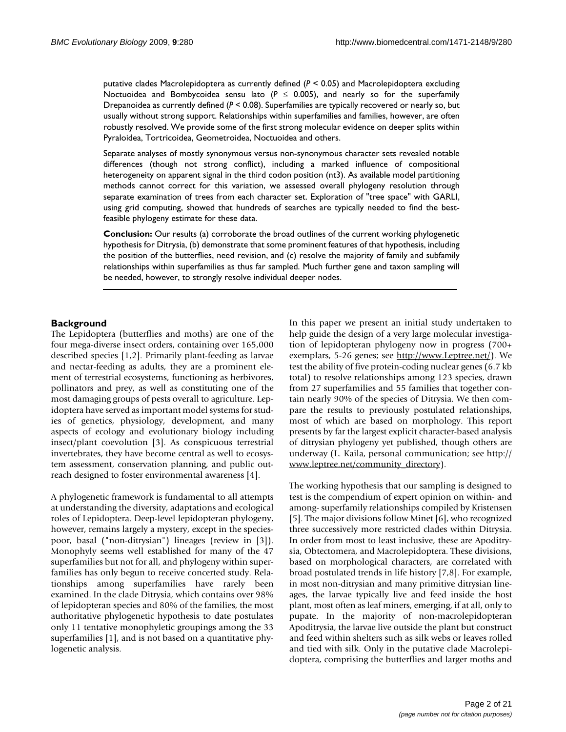putative clades Macrolepidoptera as currently defined (*P* < 0.05) and Macrolepidoptera excluding Noctuoidea and Bombycoidea sensu lato ( $P \le 0.005$ ), and nearly so for the superfamily Drepanoidea as currently defined (*P* < 0.08). Superfamilies are typically recovered or nearly so, but usually without strong support. Relationships within superfamilies and families, however, are often robustly resolved. We provide some of the first strong molecular evidence on deeper splits within Pyraloidea, Tortricoidea, Geometroidea, Noctuoidea and others.

Separate analyses of mostly synonymous versus non-synonymous character sets revealed notable differences (though not strong conflict), including a marked influence of compositional heterogeneity on apparent signal in the third codon position (nt3). As available model partitioning methods cannot correct for this variation, we assessed overall phylogeny resolution through separate examination of trees from each character set. Exploration of "tree space" with GARLI, using grid computing, showed that hundreds of searches are typically needed to find the bestfeasible phylogeny estimate for these data.

**Conclusion:** Our results (a) corroborate the broad outlines of the current working phylogenetic hypothesis for Ditrysia, (b) demonstrate that some prominent features of that hypothesis, including the position of the butterflies, need revision, and (c) resolve the majority of family and subfamily relationships within superfamilies as thus far sampled. Much further gene and taxon sampling will be needed, however, to strongly resolve individual deeper nodes.

#### **Background**

The Lepidoptera (butterflies and moths) are one of the four mega-diverse insect orders, containing over 165,000 described species [[1](#page-18-0),[2\]](#page-18-1). Primarily plant-feeding as larvae and nectar-feeding as adults, they are a prominent element of terrestrial ecosystems, functioning as herbivores, pollinators and prey, as well as constituting one of the most damaging groups of pests overall to agriculture. Lepidoptera have served as important model systems for studies of genetics, physiology, development, and many aspects of ecology and evolutionary biology including insect/plant coevolution [\[3\]](#page-18-2). As conspicuous terrestrial invertebrates, they have become central as well to ecosystem assessment, conservation planning, and public outreach designed to foster environmental awareness [\[4\]](#page-18-3).

A phylogenetic framework is fundamental to all attempts at understanding the diversity, adaptations and ecological roles of Lepidoptera. Deep-level lepidopteran phylogeny, however, remains largely a mystery, except in the speciespoor, basal ("non-ditrysian") lineages (review in [[3](#page-18-2)]). Monophyly seems well established for many of the 47 superfamilies but not for all, and phylogeny within superfamilies has only begun to receive concerted study. Relationships among superfamilies have rarely been examined. In the clade Ditrysia, which contains over 98% of lepidopteran species and 80% of the families, the most authoritative phylogenetic hypothesis to date postulates only 11 tentative monophyletic groupings among the 33 superfamilies [\[1\]](#page-18-0), and is not based on a quantitative phylogenetic analysis.

In this paper we present an initial study undertaken to help guide the design of a very large molecular investigation of lepidopteran phylogeny now in progress (700+ exemplars, 5-26 genes; see [http://www.Leptree.net/\)](http://www.Leptree.net/). We test the ability of five protein-coding nuclear genes (6.7 kb total) to resolve relationships among 123 species, drawn from 27 superfamilies and 55 families that together contain nearly 90% of the species of Ditrysia. We then compare the results to previously postulated relationships, most of which are based on morphology. This report presents by far the largest explicit character-based analysis of ditrysian phylogeny yet published, though others are underway (L. Kaila, personal communication; see [http://](http://www.leptree.net/community_directory) [www.leptree.net/community\\_directory](http://www.leptree.net/community_directory)).

The working hypothesis that our sampling is designed to test is the compendium of expert opinion on within- and among- superfamily relationships compiled by Kristensen [[5\]](#page-18-4). The major divisions follow Minet [\[6\]](#page-18-5), who recognized three successively more restricted clades within Ditrysia. In order from most to least inclusive, these are Apoditrysia, Obtectomera, and Macrolepidoptera. These divisions, based on morphological characters, are correlated with broad postulated trends in life history [\[7](#page-18-6),[8](#page-19-0)]. For example, in most non-ditrysian and many primitive ditrysian lineages, the larvae typically live and feed inside the host plant, most often as leaf miners, emerging, if at all, only to pupate. In the majority of non-macrolepidopteran Apoditrysia, the larvae live outside the plant but construct and feed within shelters such as silk webs or leaves rolled and tied with silk. Only in the putative clade Macrolepidoptera, comprising the butterflies and larger moths and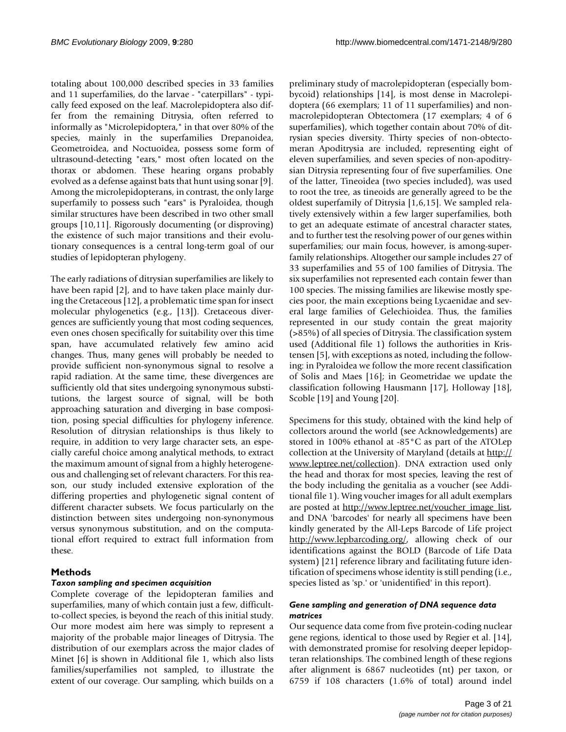totaling about 100,000 described species in 33 families and 11 superfamilies, do the larvae - "caterpillars" - typically feed exposed on the leaf. Macrolepidoptera also differ from the remaining Ditrysia, often referred to informally as "Microlepidoptera," in that over 80% of the species, mainly in the superfamilies Drepanoidea, Geometroidea, and Noctuoidea, possess some form of ultrasound-detecting "ears," most often located on the thorax or abdomen. These hearing organs probably evolved as a defense against bats that hunt using sonar [[9](#page-19-1)]. Among the microlepidopterans, in contrast, the only large superfamily to possess such "ears" is Pyraloidea, though similar structures have been described in two other small groups [\[10](#page-19-2),[11](#page-19-3)]. Rigorously documenting (or disproving) the existence of such major transitions and their evolutionary consequences is a central long-term goal of our studies of lepidopteran phylogeny.

The early radiations of ditrysian superfamilies are likely to have been rapid [\[2](#page-18-1)], and to have taken place mainly during the Cretaceous [[12\]](#page-19-4), a problematic time span for insect molecular phylogenetics (e.g., [[13\]](#page-19-5)). Cretaceous divergences are sufficiently young that most coding sequences, even ones chosen specifically for suitability over this time span, have accumulated relatively few amino acid changes. Thus, many genes will probably be needed to provide sufficient non-synonymous signal to resolve a rapid radiation. At the same time, these divergences are sufficiently old that sites undergoing synonymous substitutions, the largest source of signal, will be both approaching saturation and diverging in base composition, posing special difficulties for phylogeny inference. Resolution of ditrysian relationships is thus likely to require, in addition to very large character sets, an especially careful choice among analytical methods, to extract the maximum amount of signal from a highly heterogeneous and challenging set of relevant characters. For this reason, our study included extensive exploration of the differing properties and phylogenetic signal content of different character subsets. We focus particularly on the distinction between sites undergoing non-synonymous versus synonymous substitution, and on the computational effort required to extract full information from these.

#### **Methods**

#### *Taxon sampling and specimen acquisition*

Complete coverage of the lepidopteran families and superfamilies, many of which contain just a few, difficultto-collect species, is beyond the reach of this initial study. Our more modest aim here was simply to represent a majority of the probable major lineages of Ditrysia. The distribution of our exemplars across the major clades of Minet [[6](#page-18-5)] is shown in Additional file [1,](#page-17-0) which also lists families/superfamilies not sampled, to illustrate the extent of our coverage. Our sampling, which builds on a

preliminary study of macrolepidopteran (especially bombycoid) relationships [\[14](#page-19-6)], is most dense in Macrolepidoptera (66 exemplars; 11 of 11 superfamilies) and nonmacrolepidopteran Obtectomera (17 exemplars; 4 of 6 superfamilies), which together contain about 70% of ditrysian species diversity. Thirty species of non-obtectomeran Apoditrysia are included, representing eight of eleven superfamilies, and seven species of non-apoditrysian Ditrysia representing four of five superfamilies. One of the latter, Tineoidea (two species included), was used to root the tree, as tineoids are generally agreed to be the oldest superfamily of Ditrysia [[1](#page-18-0),[6](#page-18-5),[15\]](#page-19-7). We sampled relatively extensively within a few larger superfamilies, both to get an adequate estimate of ancestral character states, and to further test the resolving power of our genes within superfamilies; our main focus, however, is among-superfamily relationships. Altogether our sample includes 27 of 33 superfamilies and 55 of 100 families of Ditrysia. The six superfamilies not represented each contain fewer than 100 species. The missing families are likewise mostly species poor, the main exceptions being Lycaenidae and several large families of Gelechioidea. Thus, the families represented in our study contain the great majority (>85%) of all species of Ditrysia. The classification system used (Additional file [1](#page-17-0)) follows the authorities in Kristensen [[5](#page-18-4)], with exceptions as noted, including the following: in Pyraloidea we follow the more recent classification of Solis and Maes [\[16](#page-19-8)]; in Geometridae we update the classification following Hausmann [[17\]](#page-19-9), Holloway [\[18](#page-19-10)], Scoble [[19](#page-19-11)] and Young [\[20\]](#page-19-12).

Specimens for this study, obtained with the kind help of collectors around the world (see Acknowledgements) are stored in 100% ethanol at -85°C as part of the ATOLep collection at the University of Maryland (details at [http://](http://www.leptree.net/collection) [www.leptree.net/collection\)](http://www.leptree.net/collection). DNA extraction used only the head and thorax for most species, leaving the rest of the body including the genitalia as a voucher (see Additional file [1\)](#page-17-0). Wing voucher images for all adult exemplars are posted at [http://www.leptree.net/voucher\\_image\\_list,](http://www.leptree.net/voucher_image_list) and DNA 'barcodes' for nearly all specimens have been kindly generated by the All-Leps Barcode of Life project [http://www.lepbarcoding.org/,](http://www.lepbarcoding.org/) allowing check of our identifications against the BOLD (Barcode of Life Data system) [\[21](#page-19-13)] reference library and facilitating future identification of specimens whose identity is still pending (i.e., species listed as 'sp.' or 'unidentified' in this report).

#### *Gene sampling and generation of DNA sequence data matrices*

Our sequence data come from five protein-coding nuclear gene regions, identical to those used by Regier et al. [\[14](#page-19-6)], with demonstrated promise for resolving deeper lepidopteran relationships. The combined length of these regions after alignment is 6867 nucleotides (nt) per taxon, or 6759 if 108 characters (1.6% of total) around indel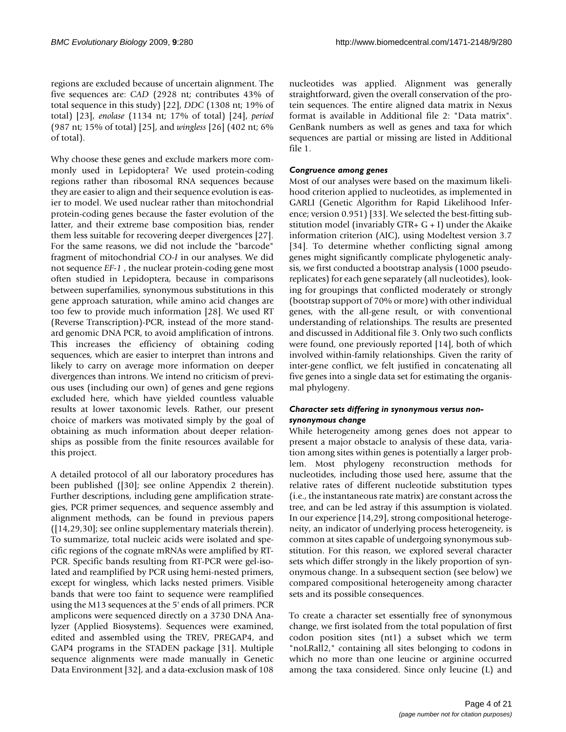regions are excluded because of uncertain alignment. The five sequences are: *CAD* (2928 nt; contributes 43% of total sequence in this study) [[22\]](#page-19-14), *DDC* (1308 nt; 19% of total) [[23\]](#page-19-15), *enolase* (1134 nt; 17% of total) [\[24](#page-19-16)], *period* (987 nt; 15% of total) [[25](#page-19-17)], and *wingless* [[26\]](#page-19-18) (402 nt; 6% of total).

Why choose these genes and exclude markers more commonly used in Lepidoptera? We used protein-coding regions rather than ribosomal RNA sequences because they are easier to align and their sequence evolution is easier to model. We used nuclear rather than mitochondrial protein-coding genes because the faster evolution of the latter, and their extreme base composition bias, render them less suitable for recovering deeper divergences [\[27](#page-19-19)]. For the same reasons, we did not include the "barcode" fragment of mitochondrial *CO-I* in our analyses. We did not sequence *EF-1* , the nuclear protein-coding gene most often studied in Lepidoptera, because in comparisons between superfamilies, synonymous substitutions in this gene approach saturation, while amino acid changes are too few to provide much information [[28\]](#page-19-20). We used RT (Reverse Transcription)-PCR, instead of the more standard genomic DNA PCR, to avoid amplification of introns. This increases the efficiency of obtaining coding sequences, which are easier to interpret than introns and likely to carry on average more information on deeper divergences than introns. We intend no criticism of previous uses (including our own) of genes and gene regions excluded here, which have yielded countless valuable results at lower taxonomic levels. Rather, our present choice of markers was motivated simply by the goal of obtaining as much information about deeper relationships as possible from the finite resources available for this project.

A detailed protocol of all our laboratory procedures has been published ([\[30\]](#page-19-21); see online Appendix 2 therein). Further descriptions, including gene amplification strategies, PCR primer sequences, and sequence assembly and alignment methods, can be found in previous papers  $(14, 29, 30)$  $(14, 29, 30)$  $(14, 29, 30)$  $(14, 29, 30)$  $(14, 29, 30)$  $(14, 29, 30)$  $(14, 29, 30)$ ; see online supplementary materials therein). To summarize, total nucleic acids were isolated and specific regions of the cognate mRNAs were amplified by RT-PCR. Specific bands resulting from RT-PCR were gel-isolated and reamplified by PCR using hemi-nested primers, except for wingless, which lacks nested primers. Visible bands that were too faint to sequence were reamplified using the M13 sequences at the 5' ends of all primers. PCR amplicons were sequenced directly on a 3730 DNA Analyzer (Applied Biosystems). Sequences were examined, edited and assembled using the TREV, PREGAP4, and GAP4 programs in the STADEN package [\[31](#page-19-23)]. Multiple sequence alignments were made manually in Genetic Data Environment [\[32](#page-19-24)], and a data-exclusion mask of 108

nucleotides was applied. Alignment was generally straightforward, given the overall conservation of the protein sequences. The entire aligned data matrix in Nexus format is available in Additional file [2](#page-18-7): "Data matrix". GenBank numbers as well as genes and taxa for which sequences are partial or missing are listed in Additional file [1](#page-17-0).

#### *Congruence among genes*

Most of our analyses were based on the maximum likelihood criterion applied to nucleotides, as implemented in GARLI (Genetic Algorithm for Rapid Likelihood Inference; version 0.951) [\[33](#page-19-25)]. We selected the best-fitting substitution model (invariably  $GTR + G + I$ ) under the Akaike information criterion (AIC), using Modeltest version 3.7 [[34](#page-19-26)]. To determine whether conflicting signal among genes might significantly complicate phylogenetic analysis, we first conducted a bootstrap analysis (1000 pseudoreplicates) for each gene separately (all nucleotides), looking for groupings that conflicted moderately or strongly (bootstrap support of 70% or more) with other individual genes, with the all-gene result, or with conventional understanding of relationships. The results are presented and discussed in Additional file [3.](#page-18-8) Only two such conflicts were found, one previously reported [\[14\]](#page-19-6), both of which involved within-family relationships. Given the rarity of inter-gene conflict, we felt justified in concatenating all five genes into a single data set for estimating the organismal phylogeny.

### *Character sets differing in synonymous versus nonsynonymous change*

While heterogeneity among genes does not appear to present a major obstacle to analysis of these data, variation among sites within genes is potentially a larger problem. Most phylogeny reconstruction methods for nucleotides, including those used here, assume that the relative rates of different nucleotide substitution types (i.e., the instantaneous rate matrix) are constant across the tree, and can be led astray if this assumption is violated. In our experience [[14](#page-19-6)[,29](#page-19-22)], strong compositional heterogeneity, an indicator of underlying process heterogeneity, is common at sites capable of undergoing synonymous substitution. For this reason, we explored several character sets which differ strongly in the likely proportion of synonymous change. In a subsequent section (see below) we compared compositional heterogeneity among character sets and its possible consequences.

To create a character set essentially free of synonymous change, we first isolated from the total population of first codon position sites (nt1) a subset which we term "noLRall2," containing all sites belonging to codons in which no more than one leucine or arginine occurred among the taxa considered. Since only leucine (L) and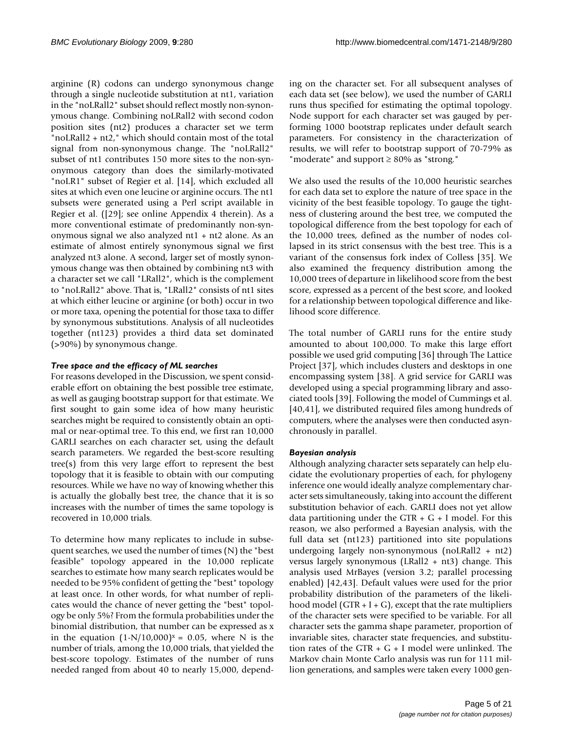arginine (R) codons can undergo synonymous change through a single nucleotide substitution at nt1, variation in the "noLRall2" subset should reflect mostly non-synonymous change. Combining noLRall2 with second codon position sites (nt2) produces a character set we term "noLRall2 + nt2," which should contain most of the total signal from non-synonymous change. The "noLRall2" subset of nt1 contributes 150 more sites to the non-synonymous category than does the similarly-motivated "noLR1" subset of Regier et al. [\[14\]](#page-19-6), which excluded all sites at which even one leucine or arginine occurs. The nt1 subsets were generated using a Perl script available in Regier et al. ([[29\]](#page-19-22); see online Appendix 4 therein). As a more conventional estimate of predominantly non-synonymous signal we also analyzed nt1 + nt2 alone. As an estimate of almost entirely synonymous signal we first analyzed nt3 alone. A second, larger set of mostly synonymous change was then obtained by combining nt3 with a character set we call "LRall2", which is the complement to "noLRall2" above. That is, "LRall2" consists of nt1 sites at which either leucine or arginine (or both) occur in two or more taxa, opening the potential for those taxa to differ by synonymous substitutions. Analysis of all nucleotides together (nt123) provides a third data set dominated (>90%) by synonymous change.

#### *Tree space and the efficacy of ML searches*

For reasons developed in the Discussion, we spent considerable effort on obtaining the best possible tree estimate, as well as gauging bootstrap support for that estimate. We first sought to gain some idea of how many heuristic searches might be required to consistently obtain an optimal or near-optimal tree. To this end, we first ran 10,000 GARLI searches on each character set, using the default search parameters. We regarded the best-score resulting tree(s) from this very large effort to represent the best topology that it is feasible to obtain with our computing resources. While we have no way of knowing whether this is actually the globally best tree, the chance that it is so increases with the number of times the same topology is recovered in 10,000 trials.

To determine how many replicates to include in subsequent searches, we used the number of times (N) the "best feasible" topology appeared in the 10,000 replicate searches to estimate how many search replicates would be needed to be 95% confident of getting the "best" topology at least once. In other words, for what number of replicates would the chance of never getting the "best" topology be only 5%? From the formula probabilities under the binomial distribution, that number can be expressed as x in the equation  $(1-N/10,000)^{x} = 0.05$ , where N is the number of trials, among the 10,000 trials, that yielded the best-score topology. Estimates of the number of runs needed ranged from about 40 to nearly 15,000, depending on the character set. For all subsequent analyses of each data set (see below), we used the number of GARLI runs thus specified for estimating the optimal topology. Node support for each character set was gauged by performing 1000 bootstrap replicates under default search parameters. For consistency in the characterization of results, we will refer to bootstrap support of 70-79% as "moderate" and support ≥ 80% as "strong."

We also used the results of the 10,000 heuristic searches for each data set to explore the nature of tree space in the vicinity of the best feasible topology. To gauge the tightness of clustering around the best tree, we computed the topological difference from the best topology for each of the 10,000 trees, defined as the number of nodes collapsed in its strict consensus with the best tree. This is a variant of the consensus fork index of Colless [[35\]](#page-19-27). We also examined the frequency distribution among the 10,000 trees of departure in likelihood score from the best score, expressed as a percent of the best score, and looked for a relationship between topological difference and likelihood score difference.

The total number of GARLI runs for the entire study amounted to about 100,000. To make this large effort possible we used grid computing [\[36](#page-19-28)] through The Lattice Project [\[37](#page-19-29)], which includes clusters and desktops in one encompassing system [\[38](#page-19-30)]. A grid service for GARLI was developed using a special programming library and associated tools [[39](#page-19-31)]. Following the model of Cummings et al. [[40](#page-19-32),[41\]](#page-19-33), we distributed required files among hundreds of computers, where the analyses were then conducted asynchronously in parallel.

#### *Bayesian analysis*

Although analyzing character sets separately can help elucidate the evolutionary properties of each, for phylogeny inference one would ideally analyze complementary character sets simultaneously, taking into account the different substitution behavior of each. GARLI does not yet allow data partitioning under the GTR  $+$  G  $+$  I model. For this reason, we also performed a Bayesian analysis, with the full data set (nt123) partitioned into site populations undergoing largely non-synonymous (noLRall2  $+$  nt2) versus largely synonymous (LRall2 + nt3) change. This analysis used MrBayes (version 3.2; parallel processing enabled) [\[42](#page-19-34),[43\]](#page-19-35). Default values were used for the prior probability distribution of the parameters of the likelihood model (GTR  $+$  I  $+$  G), except that the rate multipliers of the character sets were specified to be variable. For all character sets the gamma shape parameter, proportion of invariable sites, character state frequencies, and substitution rates of the GTR  $+$  G  $+$  I model were unlinked. The Markov chain Monte Carlo analysis was run for 111 million generations, and samples were taken every 1000 gen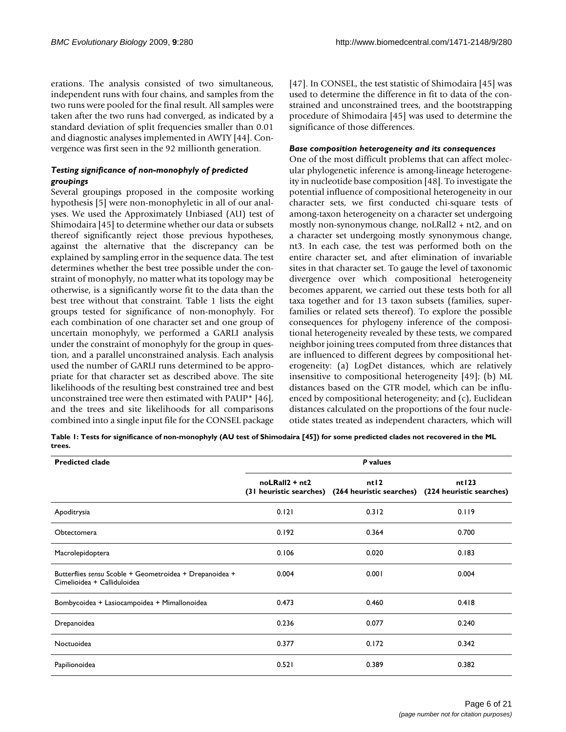erations. The analysis consisted of two simultaneous, independent runs with four chains, and samples from the two runs were pooled for the final result. All samples were taken after the two runs had converged, as indicated by a standard deviation of split frequencies smaller than 0.01 and diagnostic analyses implemented in AWTY [\[44\]](#page-19-36). Convergence was first seen in the 92 millionth generation.

#### *Testing significance of non-monophyly of predicted groupings*

Several groupings proposed in the composite working hypothesis [[5](#page-18-4)] were non-monophyletic in all of our analyses. We used the Approximately Unbiased (AU) test of Shimodaira [[45](#page-19-37)] to determine whether our data or subsets thereof significantly reject those previous hypotheses, against the alternative that the discrepancy can be explained by sampling error in the sequence data. The test determines whether the best tree possible under the constraint of monophyly, no matter what its topology may be otherwise, is a significantly worse fit to the data than the best tree without that constraint. Table [1](#page-5-0) lists the eight groups tested for significance of non-monophyly. For each combination of one character set and one group of uncertain monophyly, we performed a GARLI analysis under the constraint of monophyly for the group in question, and a parallel unconstrained analysis. Each analysis used the number of GARLI runs determined to be appropriate for that character set as described above. The site likelihoods of the resulting best constrained tree and best unconstrained tree were then estimated with PAUP\* [\[46](#page-19-38)], and the trees and site likelihoods for all comparisons combined into a single input file for the CONSEL package [[47](#page-19-39)]. In CONSEL, the test statistic of Shimodaira [[45\]](#page-19-37) was used to determine the difference in fit to data of the constrained and unconstrained trees, and the bootstrapping procedure of Shimodaira [\[45](#page-19-37)] was used to determine the significance of those differences.

#### *Base composition heterogeneity and its consequences*

One of the most difficult problems that can affect molecular phylogenetic inference is among-lineage heterogeneity in nucleotide base composition [[48](#page-19-40)]. To investigate the potential influence of compositional heterogeneity in our character sets, we first conducted chi-square tests of among-taxon heterogeneity on a character set undergoing mostly non-synonymous change, noLRall2 + nt2, and on a character set undergoing mostly synonymous change, nt3. In each case, the test was performed both on the entire character set, and after elimination of invariable sites in that character set. To gauge the level of taxonomic divergence over which compositional heterogeneity becomes apparent, we carried out these tests both for all taxa together and for 13 taxon subsets (families, superfamilies or related sets thereof). To explore the possible consequences for phylogeny inference of the compositional heterogeneity revealed by these tests, we compared neighbor joining trees computed from three distances that are influenced to different degrees by compositional heterogeneity: (a) LogDet distances, which are relatively insensitive to compositional heterogeneity [[49](#page-19-41)]; (b) ML distances based on the GTR model, which can be influenced by compositional heterogeneity; and (c), Euclidean distances calculated on the proportions of the four nucleotide states treated as independent characters, which will

<span id="page-5-0"></span>**Table 1: Tests for significance of non-monophyly (AU test of Shimodaira [\[45](#page-19-37)]) for some predicted clades not recovered in the ML trees.**

| <b>Predicted clade</b>                                                                 | P values             |                                                                                   |       |
|----------------------------------------------------------------------------------------|----------------------|-----------------------------------------------------------------------------------|-------|
|                                                                                        | $nol$ Rall $2 + nt2$ | ntl2<br>(31 heuristic searches) (264 heuristic searches) (224 heuristic searches) | ntl23 |
| Apoditrysia                                                                            | 0.121                | 0.312                                                                             | 0.119 |
| Obtectomera                                                                            | 0.192                | 0.364                                                                             | 0.700 |
| Macrolepidoptera                                                                       | 0.106                | 0.020                                                                             | 0.183 |
| Butterflies sensu Scoble + Geometroidea + Drepanoidea +<br>Cimelioidea + Calliduloidea | 0.004                | 0.001                                                                             | 0.004 |
| Bombycoidea + Lasiocampoidea + Mimallonoidea                                           | 0.473                | 0.460                                                                             | 0.418 |
| Drepanoidea                                                                            | 0.236                | 0.077                                                                             | 0.240 |
| Noctuoidea                                                                             | 0.377                | 0.172                                                                             | 0.342 |
| Papilionoidea                                                                          | 0.521                | 0.389                                                                             | 0.382 |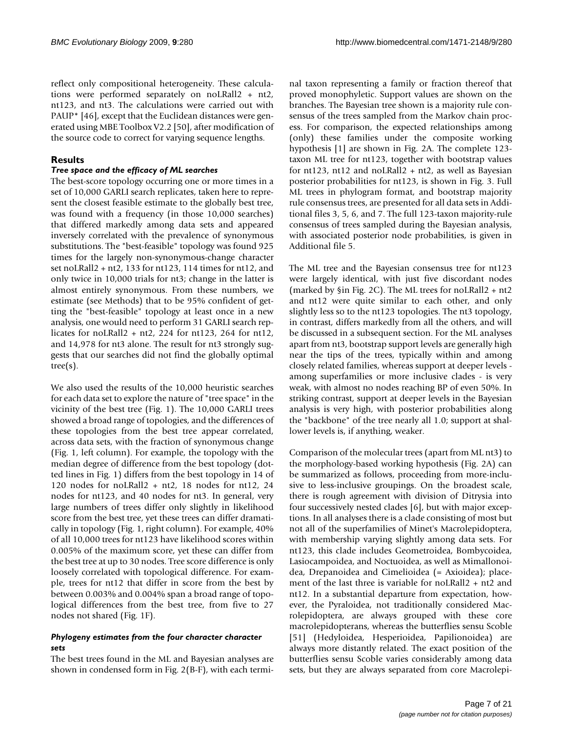reflect only compositional heterogeneity. These calculations were performed separately on noLRall2 + nt2, nt123, and nt3. The calculations were carried out with PAUP\* [[46\]](#page-19-38), except that the Euclidean distances were generated using MBE Toolbox V2.2 [\[50\]](#page-19-42), after modification of the source code to correct for varying sequence lengths.

### **Results**

#### *Tree space and the efficacy of ML searches*

The best-score topology occurring one or more times in a set of 10,000 GARLI search replicates, taken here to represent the closest feasible estimate to the globally best tree, was found with a frequency (in those 10,000 searches) that differed markedly among data sets and appeared inversely correlated with the prevalence of synonymous substitutions. The "best-feasible" topology was found 925 times for the largely non-synonymous-change character set noLRall2 + nt2, 133 for nt123, 114 times for nt12, and only twice in 10,000 trials for nt3; change in the latter is almost entirely synonymous. From these numbers, we estimate (see Methods) that to be 95% confident of getting the "best-feasible" topology at least once in a new analysis, one would need to perform 31 GARLI search replicates for noLRall2 + nt2, 224 for nt123, 264 for nt12, and 14,978 for nt3 alone. The result for nt3 strongly suggests that our searches did not find the globally optimal tree(s).

We also used the results of the 10,000 heuristic searches for each data set to explore the nature of "tree space" in the vicinity of the best tree (Fig. [1\)](#page-7-0). The 10,000 GARLI trees showed a broad range of topologies, and the differences of these topologies from the best tree appear correlated, across data sets, with the fraction of synonymous change (Fig. [1](#page-7-0), left column). For example, the topology with the median degree of difference from the best topology (dotted lines in Fig. [1\)](#page-7-0) differs from the best topology in 14 of 120 nodes for noLRall2 + nt2, 18 nodes for nt12, 24 nodes for nt123, and 40 nodes for nt3. In general, very large numbers of trees differ only slightly in likelihood score from the best tree, yet these trees can differ dramatically in topology (Fig. [1](#page-7-0), right column). For example, 40% of all 10,000 trees for nt123 have likelihood scores within 0.005% of the maximum score, yet these can differ from the best tree at up to 30 nodes. Tree score difference is only loosely correlated with topological difference. For example, trees for nt12 that differ in score from the best by between 0.003% and 0.004% span a broad range of topological differences from the best tree, from five to 27 nodes not shared (Fig. [1F](#page-7-0)).

#### *Phylogeny estimates from the four character character sets*

The best trees found in the ML and Bayesian analyses are shown in condensed form in Fig. [2](#page-8-0)(B-F), with each terminal taxon representing a family or fraction thereof that proved monophyletic. Support values are shown on the branches. The Bayesian tree shown is a majority rule consensus of the trees sampled from the Markov chain process. For comparison, the expected relationships among (only) these families under the composite working hypothesis [\[1\]](#page-18-0) are shown in Fig. [2](#page-8-0)A. The complete 123 taxon ML tree for nt123, together with bootstrap values for  $nt123$ ,  $nt12$  and  $n0LRall2 + nt2$ , as well as Bayesian posterior probabilities for nt123, is shown in Fig. [3](#page-9-0). Full ML trees in phylogram format, and bootstrap majority rule consensus trees, are presented for all data sets in Additional files [3](#page-18-8), [5](#page-18-9), [6,](#page-18-10) and [7](#page-18-11). The full 123-taxon majority-rule consensus of trees sampled during the Bayesian analysis, with associated posterior node probabilities, is given in Additional file [5.](#page-18-9)

The ML tree and the Bayesian consensus tree for nt123 were largely identical, with just five discordant nodes (marked by §in Fig. [2](#page-8-0)C). The ML trees for noLRall2 + nt2 and nt12 were quite similar to each other, and only slightly less so to the nt123 topologies. The nt3 topology, in contrast, differs markedly from all the others, and will be discussed in a subsequent section. For the ML analyses apart from nt3, bootstrap support levels are generally high near the tips of the trees, typically within and among closely related families, whereas support at deeper levels among superfamilies or more inclusive clades - is very weak, with almost no nodes reaching BP of even 50%. In striking contrast, support at deeper levels in the Bayesian analysis is very high, with posterior probabilities along the "backbone" of the tree nearly all 1.0; support at shallower levels is, if anything, weaker.

Comparison of the molecular trees (apart from ML nt3) to the morphology-based working hypothesis (Fig. [2](#page-8-0)A) can be summarized as follows, proceeding from more-inclusive to less-inclusive groupings. On the broadest scale, there is rough agreement with division of Ditrysia into four successively nested clades [\[6\]](#page-18-5), but with major exceptions. In all analyses there is a clade consisting of most but not all of the superfamilies of Minet's Macrolepidoptera, with membership varying slightly among data sets. For nt123, this clade includes Geometroidea, Bombycoidea, Lasiocampoidea, and Noctuoidea, as well as Mimallonoidea, Drepanoidea and Cimelioidea (= Axioidea); placement of the last three is variable for noLRall2 + nt2 and nt12. In a substantial departure from expectation, however, the Pyraloidea, not traditionally considered Macrolepidoptera, are always grouped with these core macrolepidopterans, whereas the butterflies sensu Scoble [[51](#page-19-43)] (Hedyloidea, Hesperioidea, Papilionoidea) are always more distantly related. The exact position of the butterflies sensu Scoble varies considerably among data sets, but they are always separated from core Macrolepi-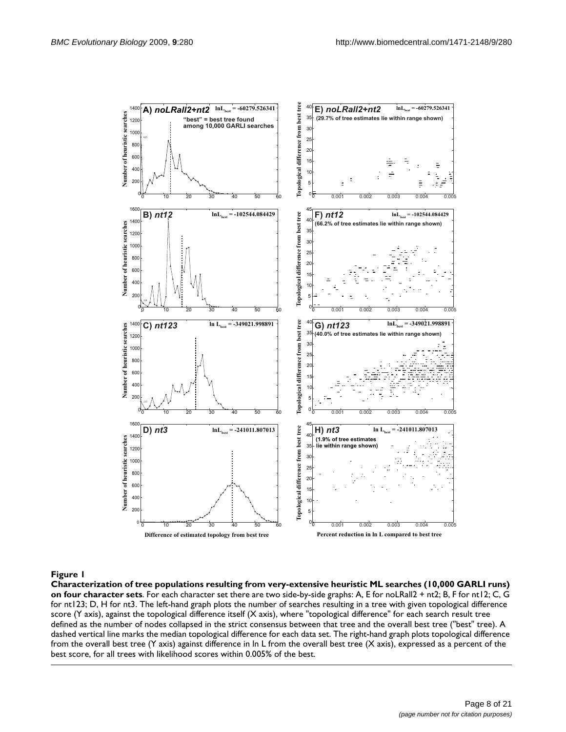<span id="page-7-0"></span>

#### Characterization of tree populations resu ter sets **Figure 1** lting from very-extensive heuristic ML searches (10,000 GARLI runs) on four charac-

**Characterization of tree populations resulting from very-extensive heuristic ML searches (10,000 GARLI runs) on four character sets**. For each character set there are two side-by-side graphs: A, E for noLRall2 + nt2; B, F for nt12; C, G for nt123; D, H for nt3. The left-hand graph plots the number of searches resulting in a tree with given topological difference score (Y axis), against the topological difference itself (X axis), where "topological difference" for each search result tree defined as the number of nodes collapsed in the strict consensus between that tree and the overall best tree ("best" tree). A dashed vertical line marks the median topological difference for each data set. The right-hand graph plots topological difference from the overall best tree (Y axis) against difference in ln L from the overall best tree (X axis), expressed as a percent of the best score, for all trees with likelihood scores within 0.005% of the best.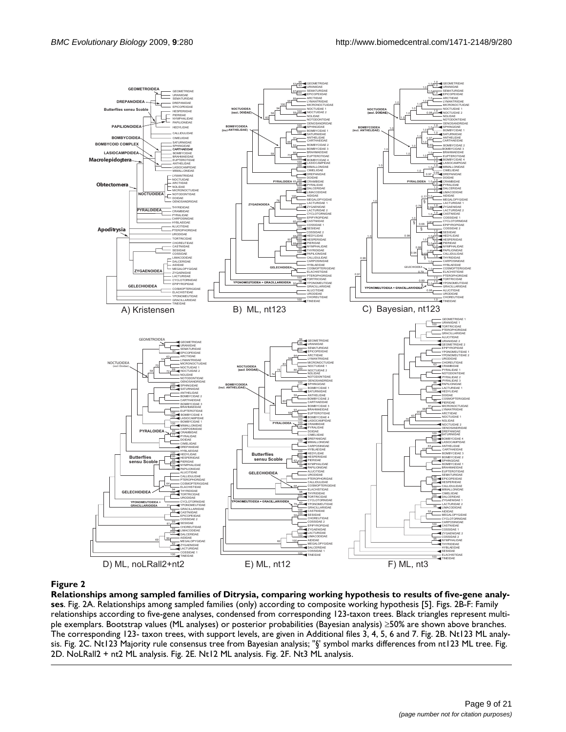<span id="page-8-0"></span>

#### Relationships among sampled families of **Figure 2** Ditrysia, comparing working hypothesis to results of five-gene analyses

**Relationships among sampled families of Ditrysia, comparing working hypothesis to results of five-gene analyses**. Fig. 2A. Relationships among sampled families (only) according to composite working hypothesis [\[5](#page-18-4)]. Figs. 2B-F: Family relationships according to five-gene analyses, condensed from corresponding 123-taxon trees. Black triangles represent multiple exemplars. Bootstrap values (ML analyses) or posterior probabilities (Bayesian analysis) ≥50% are shown above branches. The corresponding 123- taxon trees, with support levels, are given in Additional files [3](#page-18-8), [4](#page-18-12), [5,](#page-18-9) [6](#page-18-10) and [7.](#page-18-11) Fig. 2B. Nt123 ML analysis. Fig. 2C. Nt123 Majority rule consensus tree from Bayesian analysis; "§' symbol marks differences from nt123 ML tree. Fig. 2D. NoLRall2 + nt2 ML analysis. Fig. 2E. Nt12 ML analysis. Fig. 2F. Nt3 ML analysis.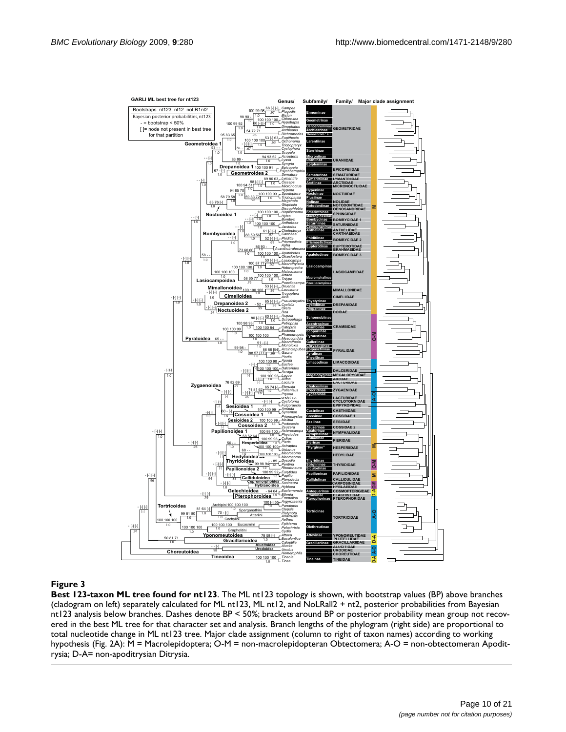<span id="page-9-0"></span>

#### **Figure 3**

**Best 123-taxon ML tree found for nt123**. The ML nt123 topology is shown, with bootstrap values (BP) above branches (cladogram on left) separately calculated for ML nt123, ML nt12, and NoLRall2 + nt2, posterior probabilities from Bayesian nt123 analysis below branches. Dashes denote BP < 50%; brackets around BP or posterior probability mean group not recovered in the best ML tree for that character set and analysis. Branch lengths of the phylogram (right side) are proportional to total nucleotide change in ML nt123 tree. Major clade assignment (column to right of taxon names) according to working hypothesis (Fig. 2A): M = Macrolepidoptera; O-M = non-macrolepidopteran Obtectomera; A-O = non-obtectomeran Apoditrysia; D-A= non-apoditrysian Ditrysia.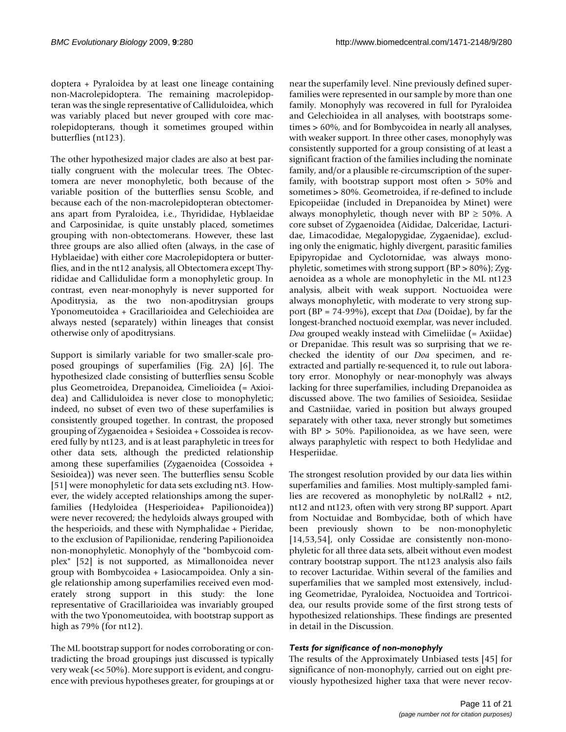doptera + Pyraloidea by at least one lineage containing non-Macrolepidoptera. The remaining macrolepidopteran was the single representative of Calliduloidea, which was variably placed but never grouped with core macrolepidopterans, though it sometimes grouped within butterflies (nt123).

The other hypothesized major clades are also at best partially congruent with the molecular trees. The Obtectomera are never monophyletic, both because of the variable position of the butterflies sensu Scoble, and because each of the non-macrolepidopteran obtectomerans apart from Pyraloidea, i.e., Thyrididae, Hyblaeidae and Carposinidae, is quite unstably placed, sometimes grouping with non-obtectomerans. However, these last three groups are also allied often (always, in the case of Hyblaeidae) with either core Macrolepidoptera or butterflies, and in the nt12 analysis, all Obtectomera except Thyrididae and Callidulidae form a monophyletic group. In contrast, even near-monophyly is never supported for Apoditrysia, as the two non-apoditrysian groups Yponomeutoidea + Gracillarioidea and Gelechioidea are always nested (separately) within lineages that consist otherwise only of apoditrysians.

Support is similarly variable for two smaller-scale proposed groupings of superfamilies (Fig. [2](#page-8-0)A) [[6](#page-18-5)]. The hypothesized clade consisting of butterflies sensu Scoble plus Geometroidea, Drepanoidea, Cimelioidea (= Axioidea) and Calliduloidea is never close to monophyletic; indeed, no subset of even two of these superfamilies is consistently grouped together. In contrast, the proposed grouping of Zygaenoidea + Sesioidea + Cossoidea is recovered fully by nt123, and is at least paraphyletic in trees for other data sets, although the predicted relationship among these superfamilies (Zygaenoidea (Cossoidea + Sesioidea)) was never seen. The butterflies sensu Scoble [[51](#page-19-43)] were monophyletic for data sets excluding nt3. However, the widely accepted relationships among the superfamilies (Hedyloidea (Hesperioidea+ Papilionoidea)) were never recovered; the hedyloids always grouped with the hesperioids, and these with Nymphalidae + Pieridae, to the exclusion of Papilionidae, rendering Papilionoidea non-monophyletic. Monophyly of the "bombycoid complex" [[52\]](#page-19-44) is not supported, as Mimallonoidea never group with Bombycoidea + Lasiocampoidea. Only a single relationship among superfamilies received even moderately strong support in this study: the lone representative of Gracillarioidea was invariably grouped with the two Yponomeutoidea, with bootstrap support as high as 79% (for nt12).

The ML bootstrap support for nodes corroborating or contradicting the broad groupings just discussed is typically very weak (<< 50%). More support is evident, and congruence with previous hypotheses greater, for groupings at or near the superfamily level. Nine previously defined superfamilies were represented in our sample by more than one family. Monophyly was recovered in full for Pyraloidea and Gelechioidea in all analyses, with bootstraps sometimes > 60%, and for Bombycoidea in nearly all analyses, with weaker support. In three other cases, monophyly was consistently supported for a group consisting of at least a significant fraction of the families including the nominate family, and/or a plausible re-circumscription of the superfamily, with bootstrap support most often > 50% and sometimes > 80%. Geometroidea, if re-defined to include Epicopeiidae (included in Drepanoidea by Minet) were always monophyletic, though never with  $BP \geq 50\%$ . A core subset of Zygaenoidea (Aididae, Dalceridae, Lacturidae, Limacodidae, Megalopygidae, Zygaenidae), excluding only the enigmatic, highly divergent, parasitic families Epipyropidae and Cyclotornidae, was always monophyletic, sometimes with strong support (BP > 80%); Zygaenoidea as a whole are monophyletic in the ML nt123 analysis, albeit with weak support. Noctuoidea were always monophyletic, with moderate to very strong support (BP = 74-99%), except that *Doa* (Doidae), by far the longest-branched noctuoid exemplar, was never included. *Doa* grouped weakly instead with Cimeliidae (= Axiidae) or Drepanidae. This result was so surprising that we rechecked the identity of our *Doa* specimen, and reextracted and partially re-sequenced it, to rule out laboratory error. Monophyly or near-monophyly was always lacking for three superfamilies, including Drepanoidea as discussed above. The two families of Sesioidea, Sesiidae and Castniidae, varied in position but always grouped separately with other taxa, never strongly but sometimes with BP > 50%. Papilionoidea, as we have seen, were always paraphyletic with respect to both Hedylidae and Hesperiidae.

The strongest resolution provided by our data lies within superfamilies and families. Most multiply-sampled families are recovered as monophyletic by noLRall2 + nt2, nt12 and nt123, often with very strong BP support. Apart from Noctuidae and Bombycidae, both of which have been previously shown to be non-monophyletic [[14](#page-19-6),[53,](#page-19-45)[54](#page-20-0)], only Cossidae are consistently non-monophyletic for all three data sets, albeit without even modest contrary bootstrap support. The nt123 analysis also fails to recover Lacturidae. Within several of the families and superfamilies that we sampled most extensively, including Geometridae, Pyraloidea, Noctuoidea and Tortricoidea, our results provide some of the first strong tests of hypothesized relationships. These findings are presented in detail in the Discussion.

#### *Tests for significance of non-monophyly*

The results of the Approximately Unbiased tests [\[45](#page-19-37)] for significance of non-monophyly, carried out on eight previously hypothesized higher taxa that were never recov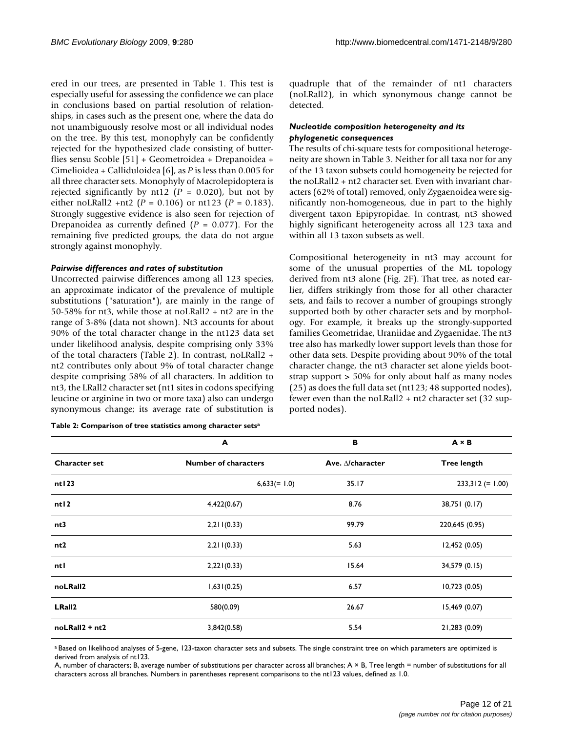ered in our trees, are presented in Table [1](#page-5-0). This test is especially useful for assessing the confidence we can place in conclusions based on partial resolution of relationships, in cases such as the present one, where the data do not unambiguously resolve most or all individual nodes on the tree. By this test, monophyly can be confidently rejected for the hypothesized clade consisting of butterflies sensu Scoble [[51](#page-19-43)] + Geometroidea + Drepanoidea + Cimelioidea + Calliduloidea [\[6\]](#page-18-5), as *P* is less than 0.005 for all three character sets. Monophyly of Macrolepidoptera is rejected significantly by  $nt12$  ( $P = 0.020$ ), but not by either noLRall2 +nt2 (*P* = 0.106) or nt123 (*P* = 0.183). Strongly suggestive evidence is also seen for rejection of Drepanoidea as currently defined (*P* = 0.077). For the remaining five predicted groups, the data do not argue strongly against monophyly.

#### *Pairwise differences and rates of substitution*

Uncorrected pairwise differences among all 123 species, an approximate indicator of the prevalence of multiple substitutions ("saturation"), are mainly in the range of 50-58% for nt3, while those at noLRall2 + nt2 are in the range of 3-8% (data not shown). Nt3 accounts for about 90% of the total character change in the nt123 data set under likelihood analysis, despite comprising only 33% of the total characters (Table [2](#page-11-0)). In contrast, noLRall2 + nt2 contributes only about 9% of total character change despite comprising 58% of all characters. In addition to nt3, the LRall2 character set (nt1 sites in codons specifying leucine or arginine in two or more taxa) also can undergo synonymous change; its average rate of substitution is

<span id="page-11-0"></span>**Table 2: Comparison of tree statistics among character setsa**

quadruple that of the remainder of nt1 characters (noLRall2), in which synonymous change cannot be detected.

#### *Nucleotide composition heterogeneity and its phylogenetic consequences*

The results of chi-square tests for compositional heterogeneity are shown in Table [3.](#page-12-0) Neither for all taxa nor for any of the 13 taxon subsets could homogeneity be rejected for the noLRall2 + nt2 character set. Even with invariant characters (62% of total) removed, only Zygaenoidea were significantly non-homogeneous, due in part to the highly divergent taxon Epipyropidae. In contrast, nt3 showed highly significant heterogeneity across all 123 taxa and within all 13 taxon subsets as well.

Compositional heterogeneity in nt3 may account for some of the unusual properties of the ML topology derived from nt3 alone (Fig. [2](#page-8-0)F). That tree, as noted earlier, differs strikingly from those for all other character sets, and fails to recover a number of groupings strongly supported both by other character sets and by morphology. For example, it breaks up the strongly-supported families Geometridae, Uraniidae and Zygaenidae. The nt3 tree also has markedly lower support levels than those for other data sets. Despite providing about 90% of the total character change, the nt3 character set alone yields bootstrap support > 50% for only about half as many nodes (25) as does the full data set (nt123; 48 supported nodes), fewer even than the noLRall2 + nt2 character set (32 supported nodes).

|                      | A                           | B                           | $A \times B$       |
|----------------------|-----------------------------|-----------------------------|--------------------|
| <b>Character set</b> | <b>Number of characters</b> | Ave. $\triangle$ /character | <b>Tree length</b> |
| ntl23                | $6,633(= 1.0)$              | 35.17                       | $233,312 (= 1.00)$ |
| ntl2                 | 4,422(0.67)                 | 8.76                        | 38,751 (0.17)      |
| nt3                  | 2,211(0.33)                 | 99.79                       | 220,645 (0.95)     |
| nt2                  | 2,211(0.33)                 | 5.63                        | 12,452(0.05)       |
| ntl                  | 2,221(0.33)                 | 15.64                       | 34,579 (0.15)      |
| noLRall2             | 1,631(0.25)                 | 6.57                        | 10,723(0.05)       |
| LRall <sub>2</sub>   | 580(0.09)                   | 26.67                       | 15,469 (0.07)      |
| noLRall2 + nt2       | 3,842(0.58)                 | 5.54                        | 21,283 (0.09)      |

a Based on likelihood analyses of 5-gene, 123-taxon character sets and subsets. The single constraint tree on which parameters are optimized is derived from analysis of nt123.

A, number of characters; B, average number of substitutions per character across all branches; A × B, Tree length = number of substitutions for all characters across all branches. Numbers in parentheses represent comparisons to the nt123 values, defined as 1.0.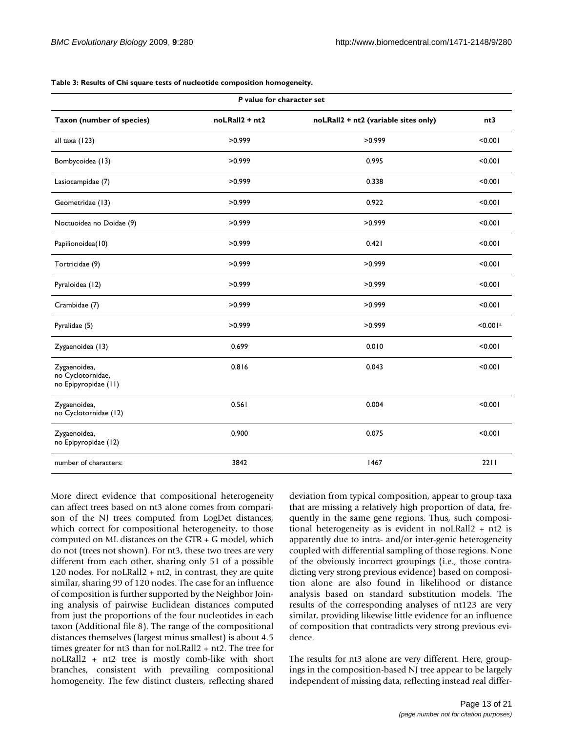| P value for character set                                 |                |                                      |          |  |  |  |
|-----------------------------------------------------------|----------------|--------------------------------------|----------|--|--|--|
| Taxon (number of species)                                 | noLRall2 + nt2 | noLRall2 + nt2 (variable sites only) | nt3      |  |  |  |
| all taxa (123)                                            | >0.999         | >0.999                               | < 0.001  |  |  |  |
| Bombycoidea (13)                                          | >0.999         | 0.995                                | < 0.001  |  |  |  |
| Lasiocampidae (7)                                         | >0.999         | 0.338                                | < 0.001  |  |  |  |
| Geometridae (13)                                          | >0.999         | 0.922                                | < 0.001  |  |  |  |
| Noctuoidea no Doidae (9)                                  | >0.999         | >0.999                               | < 0.001  |  |  |  |
| Papilionoidea(10)                                         | >0.999         | 0.421                                | < 0.001  |  |  |  |
| Tortricidae (9)                                           | >0.999         | >0.999                               | < 0.001  |  |  |  |
| Pyraloidea (12)                                           | >0.999         | >0.999                               | < 0.001  |  |  |  |
| Crambidae (7)                                             | >0.999         | >0.999                               | < 0.001  |  |  |  |
| Pyralidae (5)                                             | >0.999         | >0.999                               | < 0.001a |  |  |  |
| Zygaenoidea (13)                                          | 0.699          | 0.010                                | < 0.001  |  |  |  |
| Zygaenoidea,<br>no Cyclotornidae,<br>no Epipyropidae (11) | 0.816          | 0.043                                | < 0.001  |  |  |  |
| Zygaenoidea,<br>no Cyclotornidae (12)                     | 0.561          | 0.004                                | < 0.001  |  |  |  |
| Zygaenoidea,<br>no Epipyropidae (12)                      | 0.900          | 0.075                                | < 0.001  |  |  |  |
| number of characters:                                     | 3842           | 1467                                 | 2211     |  |  |  |

<span id="page-12-0"></span>**Table 3: Results of Chi square tests of nucleotide composition homogeneity.**

More direct evidence that compositional heterogeneity can affect trees based on nt3 alone comes from comparison of the NJ trees computed from LogDet distances, which correct for compositional heterogeneity, to those computed on ML distances on the GTR + G model, which do not (trees not shown). For nt3, these two trees are very different from each other, sharing only 51 of a possible 120 nodes. For noLRall2 + nt2, in contrast, they are quite similar, sharing 99 of 120 nodes. The case for an influence of composition is further supported by the Neighbor Joining analysis of pairwise Euclidean distances computed from just the proportions of the four nucleotides in each taxon (Additional file [8\)](#page-18-13). The range of the compositional distances themselves (largest minus smallest) is about 4.5 times greater for nt3 than for noLRall2 + nt2. The tree for noLRall2 + nt2 tree is mostly comb-like with short branches, consistent with prevailing compositional homogeneity. The few distinct clusters, reflecting shared

deviation from typical composition, appear to group taxa that are missing a relatively high proportion of data, frequently in the same gene regions. Thus, such compositional heterogeneity as is evident in noLRall2 + nt2 is apparently due to intra- and/or inter-genic heterogeneity coupled with differential sampling of those regions. None of the obviously incorrect groupings (i.e., those contradicting very strong previous evidence) based on composition alone are also found in likelihood or distance analysis based on standard substitution models. The results of the corresponding analyses of nt123 are very similar, providing likewise little evidence for an influence of composition that contradicts very strong previous evidence.

The results for nt3 alone are very different. Here, groupings in the composition-based NJ tree appear to be largely independent of missing data, reflecting instead real differ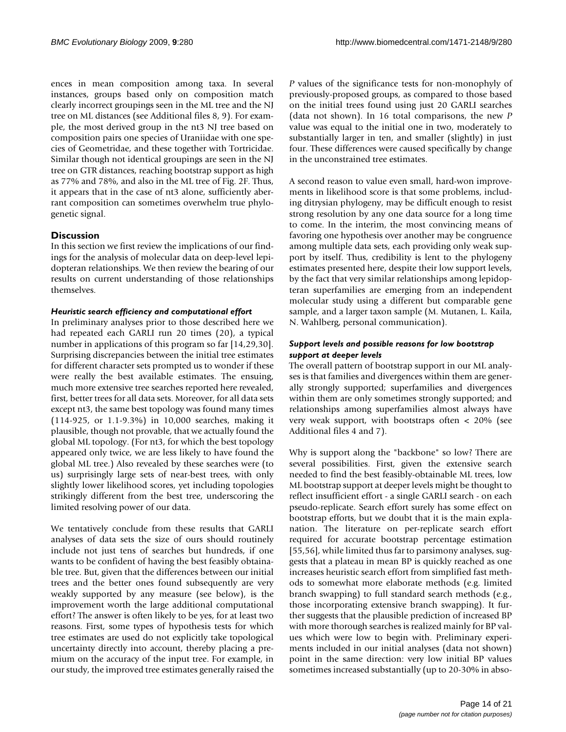ences in mean composition among taxa. In several instances, groups based only on composition match clearly incorrect groupings seen in the ML tree and the NJ tree on ML distances (see Additional files [8](#page-18-13), [9](#page-18-14)). For example, the most derived group in the nt3 NJ tree based on composition pairs one species of Uraniidae with one species of Geometridae, and these together with Tortricidae. Similar though not identical groupings are seen in the NJ tree on GTR distances, reaching bootstrap support as high as 77% and 78%, and also in the ML tree of Fig. [2](#page-8-0)F. Thus, it appears that in the case of nt3 alone, sufficiently aberrant composition can sometimes overwhelm true phylogenetic signal.

#### **Discussion**

In this section we first review the implications of our findings for the analysis of molecular data on deep-level lepidopteran relationships. We then review the bearing of our results on current understanding of those relationships themselves.

#### *Heuristic search efficiency and computational effort*

In preliminary analyses prior to those described here we had repeated each GARLI run 20 times (20), a typical number in applications of this program so far [[14](#page-19-6),[29](#page-19-22)[,30](#page-19-21)]. Surprising discrepancies between the initial tree estimates for different character sets prompted us to wonder if these were really the best available estimates. The ensuing, much more extensive tree searches reported here revealed, first, better trees for all data sets. Moreover, for all data sets except nt3, the same best topology was found many times (114-925, or 1.1-9.3%) in 10,000 searches, making it plausible, though not provable, that we actually found the global ML topology. (For nt3, for which the best topology appeared only twice, we are less likely to have found the global ML tree.) Also revealed by these searches were (to us) surprisingly large sets of near-best trees, with only slightly lower likelihood scores, yet including topologies strikingly different from the best tree, underscoring the limited resolving power of our data.

We tentatively conclude from these results that GARLI analyses of data sets the size of ours should routinely include not just tens of searches but hundreds, if one wants to be confident of having the best feasibly obtainable tree. But, given that the differences between our initial trees and the better ones found subsequently are very weakly supported by any measure (see below), is the improvement worth the large additional computational effort? The answer is often likely to be yes, for at least two reasons. First, some types of hypothesis tests for which tree estimates are used do not explicitly take topological uncertainty directly into account, thereby placing a premium on the accuracy of the input tree. For example, in our study, the improved tree estimates generally raised the *P* values of the significance tests for non-monophyly of previously-proposed groups, as compared to those based on the initial trees found using just 20 GARLI searches (data not shown). In 16 total comparisons, the new *P* value was equal to the initial one in two, moderately to substantially larger in ten, and smaller (slightly) in just four. These differences were caused specifically by change in the unconstrained tree estimates.

A second reason to value even small, hard-won improvements in likelihood score is that some problems, including ditrysian phylogeny, may be difficult enough to resist strong resolution by any one data source for a long time to come. In the interim, the most convincing means of favoring one hypothesis over another may be congruence among multiple data sets, each providing only weak support by itself. Thus, credibility is lent to the phylogeny estimates presented here, despite their low support levels, by the fact that very similar relationships among lepidopteran superfamilies are emerging from an independent molecular study using a different but comparable gene sample, and a larger taxon sample (M. Mutanen, L. Kaila, N. Wahlberg, personal communication).

#### *Support levels and possible reasons for low bootstrap support at deeper levels*

The overall pattern of bootstrap support in our ML analyses is that families and divergences within them are generally strongly supported; superfamilies and divergences within them are only sometimes strongly supported; and relationships among superfamilies almost always have very weak support, with bootstraps often < 20% (see Additional files [4](#page-18-12) and [7](#page-18-11)).

Why is support along the "backbone" so low? There are several possibilities. First, given the extensive search needed to find the best feasibly-obtainable ML trees, low ML bootstrap support at deeper levels might be thought to reflect insufficient effort - a single GARLI search - on each pseudo-replicate. Search effort surely has some effect on bootstrap efforts, but we doubt that it is the main explanation. The literature on per-replicate search effort required for accurate bootstrap percentage estimation [[55](#page-20-1),[56\]](#page-20-2), while limited thus far to parsimony analyses, suggests that a plateau in mean BP is quickly reached as one increases heuristic search effort from simplified fast methods to somewhat more elaborate methods (e.g. limited branch swapping) to full standard search methods (e.g., those incorporating extensive branch swapping). It further suggests that the plausible prediction of increased BP with more thorough searches is realized mainly for BP values which were low to begin with. Preliminary experiments included in our initial analyses (data not shown) point in the same direction: very low initial BP values sometimes increased substantially (up to 20-30% in abso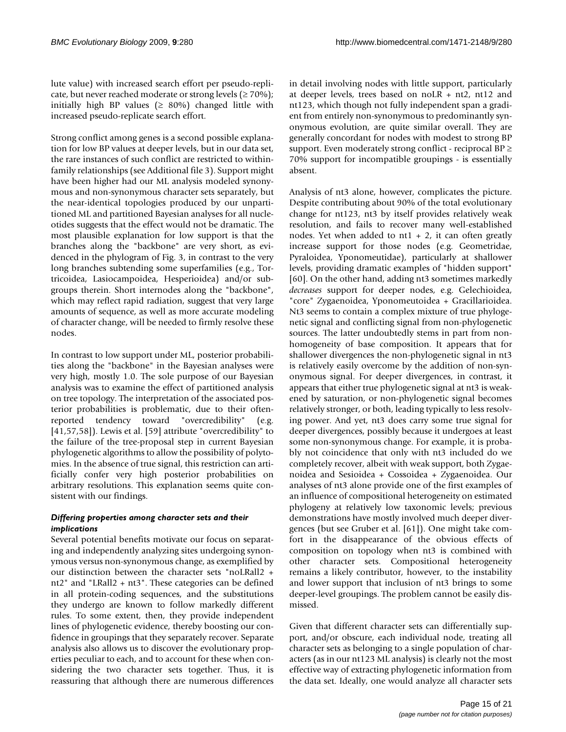lute value) with increased search effort per pseudo-replicate, but never reached moderate or strong levels  $(≥ 70%)$ ; initially high BP values ( $\geq 80\%$ ) changed little with increased pseudo-replicate search effort.

Strong conflict among genes is a second possible explanation for low BP values at deeper levels, but in our data set, the rare instances of such conflict are restricted to withinfamily relationships (see Additional file [3\)](#page-18-8). Support might have been higher had our ML analysis modeled synonymous and non-synonymous character sets separately, but the near-identical topologies produced by our unpartitioned ML and partitioned Bayesian analyses for all nucleotides suggests that the effect would not be dramatic. The most plausible explanation for low support is that the branches along the "backbone" are very short, as evidenced in the phylogram of Fig. [3](#page-9-0), in contrast to the very long branches subtending some superfamilies (e.g., Tortricoidea, Lasiocampoidea, Hesperioidea) and/or subgroups therein. Short internodes along the "backbone", which may reflect rapid radiation, suggest that very large amounts of sequence, as well as more accurate modeling of character change, will be needed to firmly resolve these nodes.

In contrast to low support under ML, posterior probabilities along the "backbone" in the Bayesian analyses were very high, mostly 1.0. The sole purpose of our Bayesian analysis was to examine the effect of partitioned analysis on tree topology. The interpretation of the associated posterior probabilities is problematic, due to their oftenreported tendency toward "overcredibility" (e.g. [[41](#page-19-33),[57](#page-20-3)[,58](#page-20-4)]). Lewis et al. [\[59](#page-20-5)] attribute "overcredibility" to the failure of the tree-proposal step in current Bayesian phylogenetic algorithms to allow the possibility of polytomies. In the absence of true signal, this restriction can artificially confer very high posterior probabilities on arbitrary resolutions. This explanation seems quite consistent with our findings.

### *Differing properties among character sets and their implications*

Several potential benefits motivate our focus on separating and independently analyzing sites undergoing synonymous versus non-synonymous change, as exemplified by our distinction between the character sets "noLRall2 + nt2" and "LRall2 + nt3". These categories can be defined in all protein-coding sequences, and the substitutions they undergo are known to follow markedly different rules. To some extent, then, they provide independent lines of phylogenetic evidence, thereby boosting our confidence in groupings that they separately recover. Separate analysis also allows us to discover the evolutionary properties peculiar to each, and to account for these when considering the two character sets together. Thus, it is reassuring that although there are numerous differences in detail involving nodes with little support, particularly at deeper levels, trees based on noLR + nt2, nt12 and nt123, which though not fully independent span a gradient from entirely non-synonymous to predominantly synonymous evolution, are quite similar overall. They are generally concordant for nodes with modest to strong BP support. Even moderately strong conflict - reciprocal BP ≥ 70% support for incompatible groupings - is essentially absent.

Analysis of nt3 alone, however, complicates the picture. Despite contributing about 90% of the total evolutionary change for nt123, nt3 by itself provides relatively weak resolution, and fails to recover many well-established nodes. Yet when added to  $nt1 + 2$ , it can often greatly increase support for those nodes (e.g. Geometridae, Pyraloidea, Yponomeutidae), particularly at shallower levels, providing dramatic examples of "hidden support" [[60](#page-20-6)]. On the other hand, adding nt3 sometimes markedly *decreases* support for deeper nodes, e.g. Gelechioidea, "core" Zygaenoidea, Yponomeutoidea + Gracillarioidea. Nt3 seems to contain a complex mixture of true phylogenetic signal and conflicting signal from non-phylogenetic sources. The latter undoubtedly stems in part from nonhomogeneity of base composition. It appears that for shallower divergences the non-phylogenetic signal in nt3 is relatively easily overcome by the addition of non-synonymous signal. For deeper divergences, in contrast, it appears that either true phylogenetic signal at nt3 is weakened by saturation, or non-phylogenetic signal becomes relatively stronger, or both, leading typically to less resolving power. And yet, nt3 does carry some true signal for deeper divergences, possibly because it undergoes at least some non-synonymous change. For example, it is probably not coincidence that only with nt3 included do we completely recover, albeit with weak support, both Zygaenoidea and Sesioidea + Cossoidea + Zygaenoidea. Our analyses of nt3 alone provide one of the first examples of an influence of compositional heterogeneity on estimated phylogeny at relatively low taxonomic levels; previous demonstrations have mostly involved much deeper divergences (but see Gruber et al. [[61\]](#page-20-7)). One might take comfort in the disappearance of the obvious effects of composition on topology when nt3 is combined with other character sets. Compositional heterogeneity remains a likely contributor, however, to the instability and lower support that inclusion of nt3 brings to some deeper-level groupings. The problem cannot be easily dismissed.

Given that different character sets can differentially support, and/or obscure, each individual node, treating all character sets as belonging to a single population of characters (as in our nt123 ML analysis) is clearly not the most effective way of extracting phylogenetic information from the data set. Ideally, one would analyze all character sets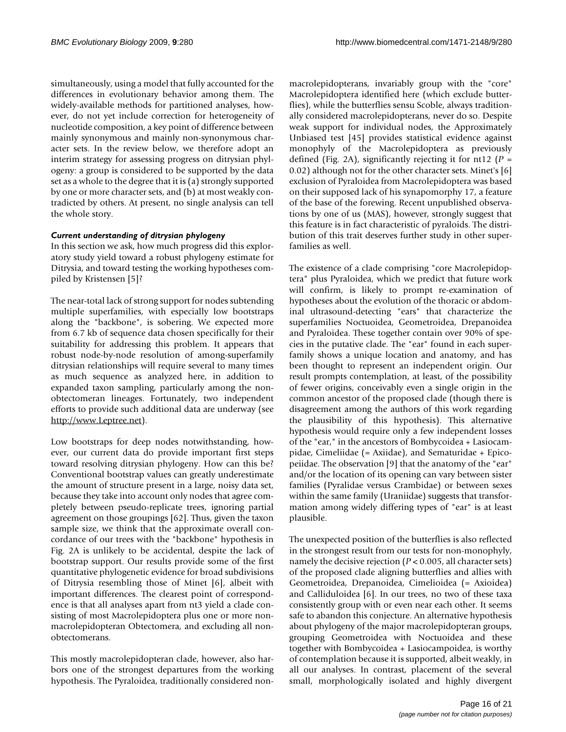simultaneously, using a model that fully accounted for the differences in evolutionary behavior among them. The widely-available methods for partitioned analyses, however, do not yet include correction for heterogeneity of nucleotide composition, a key point of difference between mainly synonymous and mainly non-synonymous character sets. In the review below, we therefore adopt an interim strategy for assessing progress on ditrysian phylogeny: a group is considered to be supported by the data set as a whole to the degree that it is (a) strongly supported by one or more character sets, and (b) at most weakly contradicted by others. At present, no single analysis can tell the whole story.

#### *Current understanding of ditrysian phylogeny*

In this section we ask, how much progress did this exploratory study yield toward a robust phylogeny estimate for Ditrysia, and toward testing the working hypotheses compiled by Kristensen [\[5\]](#page-18-4)?

The near-total lack of strong support for nodes subtending multiple superfamilies, with especially low bootstraps along the "backbone", is sobering. We expected more from 6.7 kb of sequence data chosen specifically for their suitability for addressing this problem. It appears that robust node-by-node resolution of among-superfamily ditrysian relationships will require several to many times as much sequence as analyzed here, in addition to expanded taxon sampling, particularly among the nonobtectomeran lineages. Fortunately, two independent efforts to provide such additional data are underway (see <http://www.Leptree.net>).

Low bootstraps for deep nodes notwithstanding, however, our current data do provide important first steps toward resolving ditrysian phylogeny. How can this be? Conventional bootstrap values can greatly underestimate the amount of structure present in a large, noisy data set, because they take into account only nodes that agree completely between pseudo-replicate trees, ignoring partial agreement on those groupings [[62](#page-20-8)]. Thus, given the taxon sample size, we think that the approximate overall concordance of our trees with the "backbone" hypothesis in Fig. [2A](#page-8-0) is unlikely to be accidental, despite the lack of bootstrap support. Our results provide some of the first quantitative phylogenetic evidence for broad subdivisions of Ditrysia resembling those of Minet [\[6\]](#page-18-5), albeit with important differences. The clearest point of correspondence is that all analyses apart from nt3 yield a clade consisting of most Macrolepidoptera plus one or more nonmacrolepidopteran Obtectomera, and excluding all nonobtectomerans.

This mostly macrolepidopteran clade, however, also harbors one of the strongest departures from the working hypothesis. The Pyraloidea, traditionally considered nonmacrolepidopterans, invariably group with the "core" Macrolepidoptera identified here (which exclude butterflies), while the butterflies sensu Scoble, always traditionally considered macrolepidopterans, never do so. Despite weak support for individual nodes, the Approximately Unbiased test [\[45](#page-19-37)] provides statistical evidence against monophyly of the Macrolepidoptera as previously defined (Fig. [2A](#page-8-0)), significantly rejecting it for nt12 (*P* = 0.02) although not for the other character sets. Minet's [\[6\]](#page-18-5) exclusion of Pyraloidea from Macrolepidoptera was based on their supposed lack of his synapomorphy 17, a feature of the base of the forewing. Recent unpublished observations by one of us (MAS), however, strongly suggest that this feature is in fact characteristic of pyraloids. The distribution of this trait deserves further study in other superfamilies as well.

The existence of a clade comprising "core Macrolepidoptera" plus Pyraloidea, which we predict that future work will confirm, is likely to prompt re-examination of hypotheses about the evolution of the thoracic or abdominal ultrasound-detecting "ears" that characterize the superfamilies Noctuoidea, Geometroidea, Drepanoidea and Pyraloidea. These together contain over 90% of species in the putative clade. The "ear" found in each superfamily shows a unique location and anatomy, and has been thought to represent an independent origin. Our result prompts contemplation, at least, of the possibility of fewer origins, conceivably even a single origin in the common ancestor of the proposed clade (though there is disagreement among the authors of this work regarding the plausibility of this hypothesis). This alternative hypothesis would require only a few independent losses of the "ear," in the ancestors of Bombycoidea + Lasiocampidae, Cimeliidae (= Axiidae), and Sematuridae + Epicopeiidae. The observation [\[9\]](#page-19-1) that the anatomy of the "ear" and/or the location of its opening can vary between sister families (Pyralidae versus Crambidae) or between sexes within the same family (Uraniidae) suggests that transformation among widely differing types of "ear" is at least plausible.

The unexpected position of the butterflies is also reflected in the strongest result from our tests for non-monophyly, namely the decisive rejection (*P* < 0.005, all character sets) of the proposed clade aligning butterflies and allies with Geometroidea, Drepanoidea, Cimelioidea (= Axioidea) and Calliduloidea [\[6\]](#page-18-5). In our trees, no two of these taxa consistently group with or even near each other. It seems safe to abandon this conjecture. An alternative hypothesis about phylogeny of the major macrolepidopteran groups, grouping Geometroidea with Noctuoidea and these together with Bombycoidea + Lasiocampoidea, is worthy of contemplation because it is supported, albeit weakly, in all our analyses. In contrast, placement of the several small, morphologically isolated and highly divergent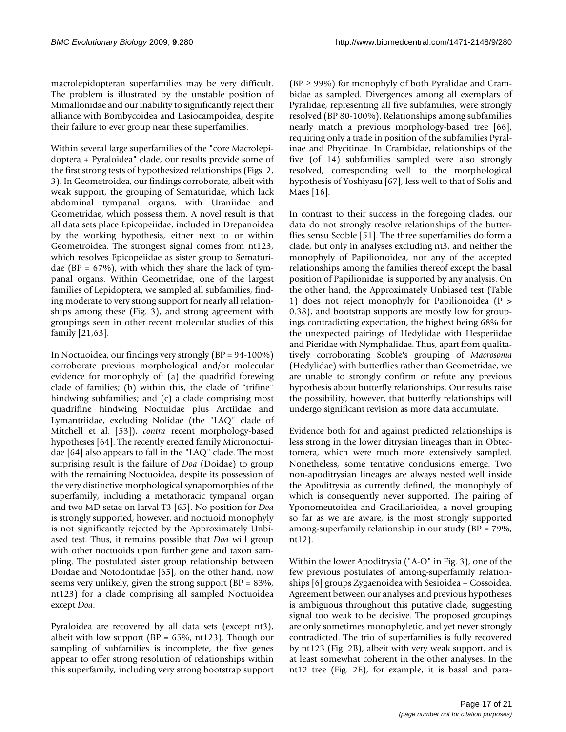macrolepidopteran superfamilies may be very difficult. The problem is illustrated by the unstable position of Mimallonidae and our inability to significantly reject their alliance with Bombycoidea and Lasiocampoidea, despite their failure to ever group near these superfamilies.

Within several large superfamilies of the "core Macrolepidoptera + Pyraloidea" clade, our results provide some of the first strong tests of hypothesized relationships (Figs. [2,](#page-8-0) [3\)](#page-9-0). In Geometroidea, our findings corroborate, albeit with weak support, the grouping of Sematuridae, which lack abdominal tympanal organs, with Uraniidae and Geometridae, which possess them. A novel result is that all data sets place Epicopeiidae, included in Drepanoidea by the working hypothesis, either next to or within Geometroidea. The strongest signal comes from nt123, which resolves Epicopeiidae as sister group to Sematuridae ( $BP = 67\%$ ), with which they share the lack of tympanal organs. Within Geometridae, one of the largest families of Lepidoptera, we sampled all subfamilies, finding moderate to very strong support for nearly all relationships among these (Fig. [3](#page-9-0)), and strong agreement with groupings seen in other recent molecular studies of this family [[21](#page-19-13)[,63](#page-20-9)].

In Noctuoidea, our findings very strongly (BP = 94-100%) corroborate previous morphological and/or molecular evidence for monophyly of: (a) the quadrifid forewing clade of families; (b) within this, the clade of "trifine" hindwing subfamilies; and (c) a clade comprising most quadrifine hindwing Noctuidae plus Arctiidae and Lymantriidae, excluding Nolidae (the "LAQ" clade of Mitchell et al. [\[53](#page-19-45)]), *contra* recent morphology-based hypotheses [[64\]](#page-20-10). The recently erected family Micronoctuidae [[64\]](#page-20-10) also appears to fall in the "LAQ" clade. The most surprising result is the failure of *Doa* (Doidae) to group with the remaining Noctuoidea, despite its possession of the very distinctive morphological synapomorphies of the superfamily, including a metathoracic tympanal organ and two MD setae on larval T3 [[65](#page-20-11)]. No position for *Doa* is strongly supported, however, and noctuoid monophyly is not significantly rejected by the Approximately Unbiased test. Thus, it remains possible that *Doa* will group with other noctuoids upon further gene and taxon sampling. The postulated sister group relationship between Doidae and Notodontidae [\[65\]](#page-20-11), on the other hand, now seems very unlikely, given the strong support ( $BP = 83\%$ , nt123) for a clade comprising all sampled Noctuoidea except *Doa*.

Pyraloidea are recovered by all data sets (except nt3), albeit with low support ( $BP = 65\%$ , nt123). Though our sampling of subfamilies is incomplete, the five genes appear to offer strong resolution of relationships within this superfamily, including very strong bootstrap support

 $(BP \ge 99\%)$  for monophyly of both Pyralidae and Crambidae as sampled. Divergences among all exemplars of Pyralidae, representing all five subfamilies, were strongly resolved (BP 80-100%). Relationships among subfamilies nearly match a previous morphology-based tree [\[66](#page-20-12)], requiring only a trade in position of the subfamilies Pyralinae and Phycitinae. In Crambidae, relationships of the five (of 14) subfamilies sampled were also strongly resolved, corresponding well to the morphological hypothesis of Yoshiyasu [[67](#page-20-13)], less well to that of Solis and Maes [[16](#page-19-8)].

In contrast to their success in the foregoing clades, our data do not strongly resolve relationships of the butterflies sensu Scoble [\[51](#page-19-43)]. The three superfamilies do form a clade, but only in analyses excluding nt3, and neither the monophyly of Papilionoidea, nor any of the accepted relationships among the families thereof except the basal position of Papilionidae, is supported by any analysis. On the other hand, the Approximately Unbiased test (Table [1](#page-5-0)) does not reject monophyly for Papilionoidea (P > 0.38), and bootstrap supports are mostly low for groupings contradicting expectation, the highest being 68% for the unexpected pairings of Hedylidae with Hesperiidae and Pieridae with Nymphalidae. Thus, apart from qualitatively corroborating Scoble's grouping of *Macrosoma* (Hedylidae) with butterflies rather than Geometridae, we are unable to strongly confirm or refute any previous hypothesis about butterfly relationships. Our results raise the possibility, however, that butterfly relationships will undergo significant revision as more data accumulate.

Evidence both for and against predicted relationships is less strong in the lower ditrysian lineages than in Obtectomera, which were much more extensively sampled. Nonetheless, some tentative conclusions emerge. Two non-apoditrysian lineages are always nested well inside the Apoditrysia as currently defined, the monophyly of which is consequently never supported. The pairing of Yponomeutoidea and Gracillarioidea, a novel grouping so far as we are aware, is the most strongly supported among-superfamily relationship in our study (BP = 79%, nt12).

Within the lower Apoditrysia ("A-O" in Fig. [3\)](#page-9-0), one of the few previous postulates of among-superfamily relationships [[6\]](#page-18-5) groups Zygaenoidea with Sesioidea + Cossoidea. Agreement between our analyses and previous hypotheses is ambiguous throughout this putative clade, suggesting signal too weak to be decisive. The proposed groupings are only sometimes monophyletic, and yet never strongly contradicted. The trio of superfamilies is fully recovered by nt123 (Fig. [2B](#page-8-0)), albeit with very weak support, and is at least somewhat coherent in the other analyses. In the nt12 tree (Fig. [2E](#page-8-0)), for example, it is basal and para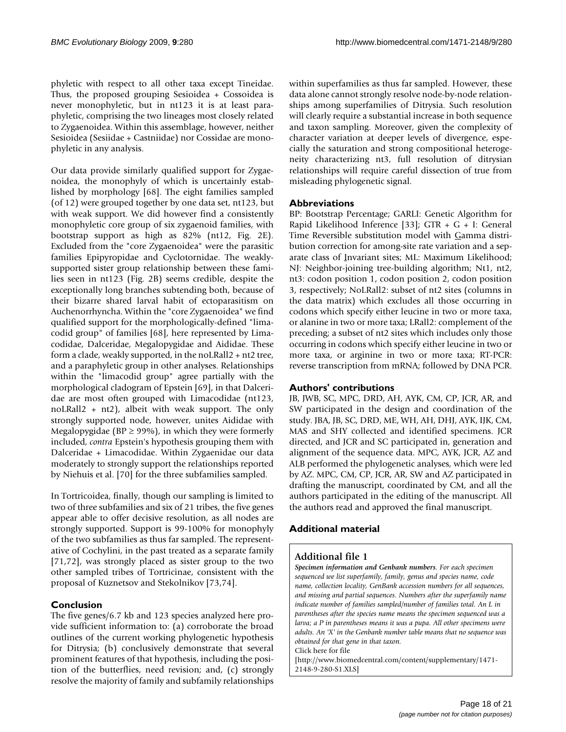phyletic with respect to all other taxa except Tineidae. Thus, the proposed grouping Sesioidea + Cossoidea is never monophyletic, but in nt123 it is at least paraphyletic, comprising the two lineages most closely related to Zygaenoidea. Within this assemblage, however, neither Sesioidea (Sesiidae + Castniidae) nor Cossidae are monophyletic in any analysis.

Our data provide similarly qualified support for Zygaenoidea, the monophyly of which is uncertainly established by morphology [\[68](#page-20-14)]. The eight families sampled (of 12) were grouped together by one data set, nt123, but with weak support. We did however find a consistently monophyletic core group of six zygaenoid families, with bootstrap support as high as 82% (nt12, Fig. [2](#page-8-0)E). Excluded from the "core Zygaenoidea" were the parasitic families Epipyropidae and Cyclotornidae. The weaklysupported sister group relationship between these families seen in nt123 (Fig. [2B](#page-8-0)) seems credible, despite the exceptionally long branches subtending both, because of their bizarre shared larval habit of ectoparasitism on Auchenorrhyncha. Within the "core Zygaenoidea" we find qualified support for the morphologically-defined "limacodid group" of families [[68\]](#page-20-14), here represented by Limacodidae, Dalceridae, Megalopygidae and Aididae. These form a clade, weakly supported, in the noLRall2 + nt2 tree, and a paraphyletic group in other analyses. Relationships within the "limacodid group" agree partially with the morphological cladogram of Epstein [\[69\]](#page-20-15), in that Dalceridae are most often grouped with Limacodidae (nt123, noLRall2 + nt2), albeit with weak support. The only strongly supported node, however, unites Aididae with Megalopygidae ( $BP \geq 99\%$ ), in which they were formerly included, *contra* Epstein's hypothesis grouping them with Dalceridae + Limacodidae. Within Zygaenidae our data moderately to strongly support the relationships reported by Niehuis et al. [[70](#page-20-16)] for the three subfamilies sampled.

In Tortricoidea, finally, though our sampling is limited to two of three subfamilies and six of 21 tribes, the five genes appear able to offer decisive resolution, as all nodes are strongly supported. Support is 99-100% for monophyly of the two subfamilies as thus far sampled. The representative of Cochylini, in the past treated as a separate family [[71](#page-20-17),[72\]](#page-20-18), was strongly placed as sister group to the two other sampled tribes of Tortricinae, consistent with the proposal of Kuznetsov and Stekolnikov [[73](#page-20-19),[74\]](#page-20-20).

#### **Conclusion**

The five genes/6.7 kb and 123 species analyzed here provide sufficient information to: (a) corroborate the broad outlines of the current working phylogenetic hypothesis for Ditrysia; (b) conclusively demonstrate that several prominent features of that hypothesis, including the position of the butterflies, need revision; and, (c) strongly resolve the majority of family and subfamily relationships

within superfamilies as thus far sampled. However, these data alone cannot strongly resolve node-by-node relationships among superfamilies of Ditrysia. Such resolution will clearly require a substantial increase in both sequence and taxon sampling. Moreover, given the complexity of character variation at deeper levels of divergence, especially the saturation and strong compositional heterogeneity characterizing nt3, full resolution of ditrysian relationships will require careful dissection of true from misleading phylogenetic signal.

#### **Abbreviations**

BP: Bootstrap Percentage; GARLI: Genetic Algorithm for Rapid Likelihood Inference [[33\]](#page-19-25); GTR + G + I: General Time Reversible substitution model with Gamma distribution correction for among-site rate variation and a separate class of Invariant sites; ML: Maximum Likelihood; NJ: Neighbor-joining tree-building algorithm; Nt1, nt2, nt3: codon position 1, codon position 2, codon position 3, respectively; NoLRall2: subset of nt2 sites (columns in the data matrix) which excludes all those occurring in codons which specify either leucine in two or more taxa, or alanine in two or more taxa; LRall2: complement of the preceding; a subset of nt2 sites which includes only those occurring in codons which specify either leucine in two or more taxa, or arginine in two or more taxa; RT-PCR: reverse transcription from mRNA; followed by DNA PCR.

#### **Authors' contributions**

JB, JWB, SC, MPC, DRD, AH, AYK, CM, CP, JCR, AR, and SW participated in the design and coordination of the study. JBA, JB, SC, DRD, ME, WH, AH, DHJ, AYK, IJK, CM, MAS and SHY collected and identified specimens. JCR directed, and JCR and SC participated in, generation and alignment of the sequence data. MPC, AYK, JCR, AZ and ALB performed the phylogenetic analyses, which were led by AZ. MPC, CM, CP, JCR, AR, SW and AZ participated in drafting the manuscript, coordinated by CM, and all the authors participated in the editing of the manuscript. All the authors read and approved the final manuscript.

#### **Additional material**

#### <span id="page-17-0"></span>**Additional file 1**

*Specimen information and Genbank numbers. For each specimen sequenced we list superfamily, family, genus and species name, code name, collection locality, GenBank accession numbers for all sequences, and missing and partial sequences. Numbers after the superfamily name indicate number of families sampled/number of families total. An L in parentheses after the species name means the specimen sequenced was a larva; a P in parentheses means it was a pupa. All other specimens were adults. An 'X' in the Genbank number table means that no sequence was obtained for that gene in that taxon.*

Click here for file

[\[http://www.biomedcentral.com/content/supplementary/1471-](http://www.biomedcentral.com/content/supplementary/1471-2148-9-280-S1.XLS) 2148-9-280-S1.XLS]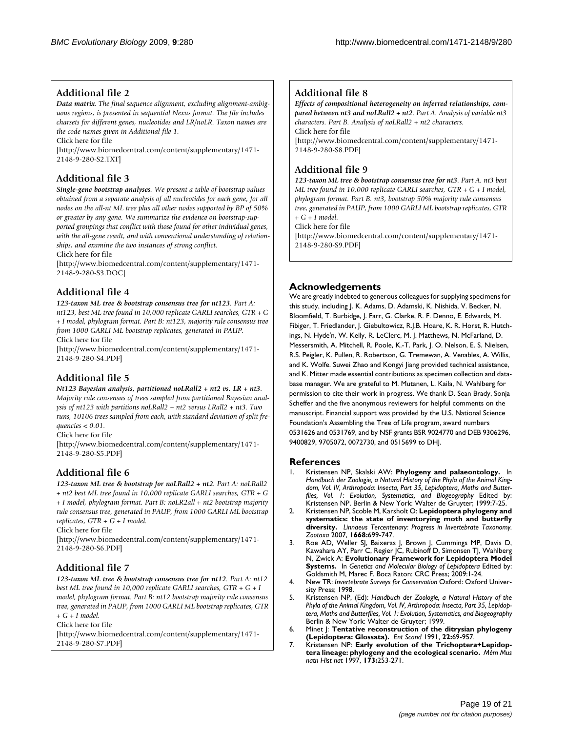# <span id="page-18-7"></span>**Additional file 2**

*Data matrix. The final sequence alignment, excluding alignment-ambiguous regions, is presented in sequential Nexus format. The file includes charsets for different genes, nucleotides and LR/noLR. Taxon names are the code names given in Additional file [1.](#page-17-0)*

Click here for file

[\[http://www.biomedcentral.com/content/supplementary/1471-](http://www.biomedcentral.com/content/supplementary/1471-2148-9-280-S2.TXT) 2148-9-280-S2.TXT]

# <span id="page-18-8"></span>**Additional file 3**

*Single-gene bootstrap analyses. We present a table of bootstrap values obtained from a separate analysis of all nucleotides for each gene, for all nodes on the all-nt ML tree plus all other nodes supported by BP of 50% or greater by any gene. We summarize the evidence on bootstrap-supported groupings that conflict with those found for other individual genes, with the all-gene result, and with conventional understanding of relationships, and examine the two instances of strong conflict.*

Click here for file

[\[http://www.biomedcentral.com/content/supplementary/1471-](http://www.biomedcentral.com/content/supplementary/1471-2148-9-280-S3.DOC) 2148-9-280-S3.DOC]

# <span id="page-18-12"></span>**Additional file 4**

*123-taxon ML tree & bootstrap consensus tree for nt123. Part A: nt123, best ML tree found in 10,000 replicate GARLI searches, GTR + G + I model, phylogram format. Part B: nt123, majority rule consensus tree from 1000 GARLI ML bootstrap replicates, generated in PAUP.* Click here for file

[\[http://www.biomedcentral.com/content/supplementary/1471-](http://www.biomedcentral.com/content/supplementary/1471-2148-9-280-S4.PDF) 2148-9-280-S4.PDF]

# <span id="page-18-9"></span>**Additional file 5**

*Nt123 Bayesian analysis, partitioned noLRall2 + nt2 vs. LR + nt3. Majority rule consensus of trees sampled from partitioned Bayesian analysis of nt123 with partitions noLRall2 + nt2 versus LRall2 + nt3. Two runs, 10106 trees sampled from each, with standard deviation of split frequencies < 0.01.*

Click here for file

[\[http://www.biomedcentral.com/content/supplementary/1471-](http://www.biomedcentral.com/content/supplementary/1471-2148-9-280-S5.PDF) 2148-9-280-S5.PDF]

# <span id="page-18-10"></span>**Additional file 6**

*123-taxon ML tree & bootstrap for noLRall2 + nt2. Part A: noLRall2 + nt2 best ML tree found in 10,000 replicate GARLI searches, GTR + G + I model, phylogram format. Part B: noLR2all + nt2 bootstrap majority rule consensus tree, generated in PAUP, from 1000 GARLI ML bootstrap replicates, GTR + G + I model.*

Click here for file

[\[http://www.biomedcentral.com/content/supplementary/1471-](http://www.biomedcentral.com/content/supplementary/1471-2148-9-280-S6.PDF) 2148-9-280-S6.PDF]

# <span id="page-18-11"></span>**Additional file 7**

*123-taxon ML tree & bootstrap consensus tree for nt12. Part A: nt12 best ML tree found in 10,000 replicate GARLI searches, GTR + G + I model, phylogram format. Part B: nt12 bootstrap majority rule consensus tree, generated in PAUP, from 1000 GARLI ML bootstrap replicates, GTR + G + I model.*

Click here for file

[\[http://www.biomedcentral.com/content/supplementary/1471-](http://www.biomedcentral.com/content/supplementary/1471-2148-9-280-S7.PDF) 2148-9-280-S7.PDF]

# <span id="page-18-13"></span>**Additional file 8**

*Effects of compositional heterogeneity on inferred relationships, compared between nt3 and noLRall2 + nt2. Part A. Analysis of variable nt3 characters. Part B. Analysis of noLRall2 + nt2 characters.* Click here for file [\[http://www.biomedcentral.com/content/supplementary/1471-](http://www.biomedcentral.com/content/supplementary/1471-2148-9-280-S8.PDF)

2148-9-280-S8.PDF]

# <span id="page-18-14"></span>**Additional file 9**

*123-taxon ML tree & bootstrap consensus tree for nt3. Part A. nt3 best ML tree found in 10,000 replicate GARLI searches, GTR + G + I model, phylogram format. Part B. nt3, bootstrap 50% majority rule consensus tree, generated in PAUP, from 1000 GARLI ML bootstrap replicates, GTR + G + I model.*

Click here for file

[\[http://www.biomedcentral.com/content/supplementary/1471-](http://www.biomedcentral.com/content/supplementary/1471-2148-9-280-S9.PDF) 2148-9-280-S9.PDF]

### **Acknowledgements**

We are greatly indebted to generous colleagues for supplying specimens for this study, including J. K. Adams, D. Adamski, K. Nishida, V. Becker, N. Bloomfield, T. Burbidge, J. Farr, G. Clarke, R. F. Denno, E. Edwards, M. Fibiger, T. Friedlander, J. Giebultowicz, R.J.B. Hoare, K. R. Horst, R. Hutchings, N. Hyde'n, W. Kelly, R. LeClerc, M. J. Matthews, N. McFarland, D. Messersmith, A. Mitchell, R. Poole, K.-T. Park, J. O. Nelson, E. S. Nielsen, R.S. Peigler, K. Pullen, R. Robertson, G. Tremewan, A. Venables, A. Willis, and K. Wolfe. Suwei Zhao and Kongyi Jiang provided technical assistance, and K. Mitter made essential contributions as specimen collection and database manager. We are grateful to M. Mutanen, L. Kaila, N. Wahlberg for permission to cite their work in progress. We thank D. Sean Brady, Sonja Scheffer and the five anonymous reviewers for helpful comments on the manuscript. Financial support was provided by the U.S. National Science Foundation's Assembling the Tree of Life program, award numbers 0531626 and 0531769, and by NSF grants BSR 9024770 and DEB 9306296, 9400829, 9705072, 0072730, and 0515699 to DHJ.

#### **References**

- <span id="page-18-0"></span>1. Kristensen NP, Skalski AW: **Phylogeny and palaeontology.** In *Handbuch der Zoologie, a Natural History of the Phyla of the Animal Kingdom, Vol. IV, Arthropoda: Insecta, Part 35, Lepidoptera, Moths and Butterflies, Vol. 1: Evolution, Systematics, and Biogeography* Edited by: Kristensen NP. Berlin & New York: Walter de Gruyter; 1999:7-25.
- <span id="page-18-1"></span>2. Kristensen NP, Scoble M, Karsholt O: **Lepidoptera phylogeny and systematics: the state of inventorying moth and butterfly diversity.** *Linnaeus Tercentenary: Progress in Invertebrate Taxonomy. Zootaxa* 2007, **1668:**699-747.
- <span id="page-18-2"></span>3. Roe AD, Weller SJ, Baixeras J, Brown J, Cummings MP, Davis D, Kawahara AY, Parr C, Regier JC, Rubinoff D, Simonsen TJ, Wahlberg N, Zwick A: **Evolutionary Framework for Lepidoptera Model Systems.** In *Genetics and Molecular Biology of Lepidoptera* Edited by: Goldsmith M, Marec F. Boca Raton: CRC Press; 2009:1-24.
- <span id="page-18-3"></span>4. New TR: *Invertebrate Surveys for Conservation* Oxford: Oxford University Press; 1998.
- <span id="page-18-4"></span>5. Kristensen NP, (Ed): *Handbuch der Zoologie, a Natural History of the Phyla of the Animal Kingdom, Vol. IV, Arthropoda: Insecta, Part 35, Lepidoptera, Moths and Butterflies, Vol. 1: Evolution, Systematics, and Biogeography* Berlin & New York: Walter de Gruyter; 1999.
- <span id="page-18-5"></span>6. Minet J: **Tentative reconstruction of the ditrysian phylogeny (Lepidoptera: Glossata).** *Ent Scand* 1991, **22:**69-957.
- <span id="page-18-6"></span>7. Kristensen NP: **Early evolution of the Trichoptera+Lepidoptera lineage: phylogeny and the ecological scenario.** *Mém Mus natn Hist nat* 1997, **173:**253-271.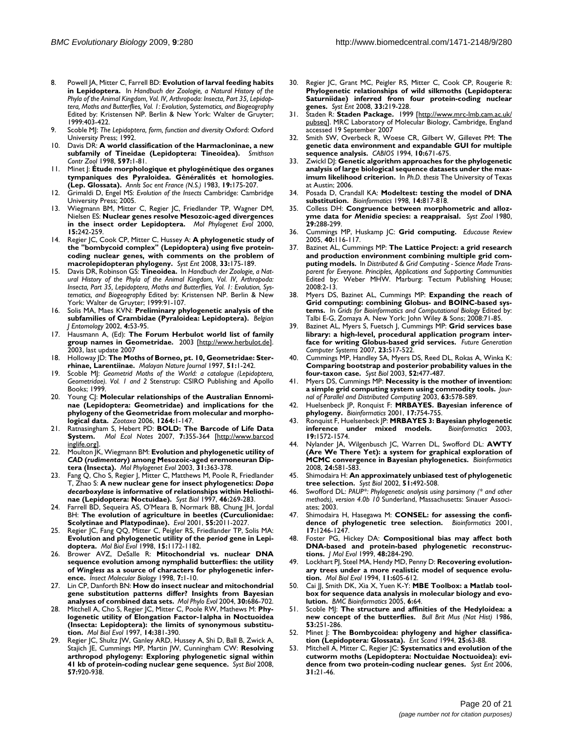- <span id="page-19-0"></span>8. Powell JA, Mitter C, Farrell BD: **Evolution of larval feeding habits in Lepidoptera.** In *Handbuch der Zoologie, a Natural History of the Phyla of the Animal Kingdom, Vol. IV, Arthropoda: Insecta, Part 35, Lepidoptera, Moths and Butterflies, Vol. 1: Evolution, Systematics, and Biogeography* Edited by: Kristensen NP. Berlin & New York: Walter de Gruyter; 1999:403-422.
- <span id="page-19-1"></span>9. Scoble MJ: *The Lepidoptera, form, function and diversity* Oxford: Oxford University Press; 1992.
- <span id="page-19-2"></span>10. Davis DR: **A world classification of the Harmacloninae, a new subfamily of Tineidae (Lepidoptera: Tineoidea).** *Smithson Contr Zool* 1998, **597:**1-81.
- <span id="page-19-3"></span>11. Minet J: **Étude morphologique et phylogénétique des organes tympaniques des Pyraloidea. Généralités et homologies. (Lep. Glossata).** *Annls Soc ent France (N.S.)* 1983, **19:**175-207.
- <span id="page-19-4"></span>12. Grimaldi D, Engel MS: *Evolution of the Insects* Cambridge: Cambridge University Press; 2005.
- <span id="page-19-5"></span>13. Wiegmann BM, Mitter C, Regier JC, Friedlander TP, Wagner DM, Nielsen ES: **[Nuclear genes resolve Mesozoic-aged divergences](http://www.ncbi.nlm.nih.gov/entrez/query.fcgi?cmd=Retrieve&db=PubMed&dopt=Abstract&list_uids=10837154) [in the insect order Lepidoptera.](http://www.ncbi.nlm.nih.gov/entrez/query.fcgi?cmd=Retrieve&db=PubMed&dopt=Abstract&list_uids=10837154)** *Mol Phylogenet Evol* 2000, **15:**242-259.
- <span id="page-19-6"></span>14. Regier JC, Cook CP, Mitter C, Hussey A: **A phylogenetic study of the "bombycoid complex" (Lepidoptera) using five proteincoding nuclear genes, with comments on the problem of macrolepidopteran phylogeny.** *Syst Ent* 2008, **33:**175-189.
- <span id="page-19-7"></span>15. Davis DR, Robinson GS: **Tineoidea.** In *Handbuch der Zoologie, a Natural History of the Phyla of the Animal Kingdom, Vol. IV, Arthropoda: Insecta, Part 35, Lepidoptera, Moths and Butterflies, Vol. 1: Evolution, Systematics, and Biogeography* Edited by: Kristensen NP. Berlin & New York: Walter de Gruyter; 1999:91-107.
- <span id="page-19-8"></span>16. Solis MA, Maes KVN: **Preliminary phylogenetic analysis of the subfamilies of Crambidae (Pyraloidea: Lepidoptera).** *Belgian J Entomology* 2002, **4:**53-95.
- <span id="page-19-9"></span>17. Hausmann A, (Ed): **The Forum Herbulot world list of family group names in Geometridae.** 2003 [[http://www.herbulot.de\]](http://www.herbulot.de). 2003, last update 2007
- <span id="page-19-10"></span>18. Holloway JD: **The Moths of Borneo, pt. 10, Geometridae: Sterrhinae, Larentiinae.** *Malayan Nature Journal* 1997, **51:**1-242.
- <span id="page-19-11"></span>19. Scoble MJ: *Geometrid Moths of the World: a catalogue (Lepidoptera, Geometridae). Vol. 1 and 2* Stenstrup: CSIRO Publishing and Apollo Books; 1999.
- <span id="page-19-12"></span>20. Young CJ: **Molecular relationships of the Australian Ennominae (Lepidoptera: Geometridae) and implications for the phylogeny of the Geometridae from molecular and morphological data.** *Zootaxa* 2006, **1264:**1-147.
- <span id="page-19-13"></span>21. Ratnasingham S, Hebert PD: **[BOLD: The Barcode of Life Data](http://www.ncbi.nlm.nih.gov/entrez/query.fcgi?cmd=Retrieve&db=PubMed&dopt=Abstract&list_uids=18784790) [System.](http://www.ncbi.nlm.nih.gov/entrez/query.fcgi?cmd=Retrieve&db=PubMed&dopt=Abstract&list_uids=18784790)** *Mol Ecol Notes* 2007, **7:**355-364 [[http://www.barcod](http://www.barcodinglife.org) [inglife.org](http://www.barcodinglife.org)].
- <span id="page-19-14"></span>22. Moulton JK, Wiegmann BM: **Evolution and phylogenetic utility of** *CAD* **(***rudimentary***) among Mesozoic-aged eremoneuran Diptera (Insecta).** *Mol Phylogenet Evol* 2003, **31:**363-378.
- <span id="page-19-15"></span>23. Fang Q, Cho S, Regier J, Mitter C, Matthews M, Poole R, Friedlander T, Zhao S: **A new nuclear gene for insect phylogenetics:** *Dopa decarboxylase* **[is informative of relationships within Heliothi](http://www.ncbi.nlm.nih.gov/entrez/query.fcgi?cmd=Retrieve&db=PubMed&dopt=Abstract&list_uids=11975343)[nae \(Lepidoptera: Noctuidae\).](http://www.ncbi.nlm.nih.gov/entrez/query.fcgi?cmd=Retrieve&db=PubMed&dopt=Abstract&list_uids=11975343)** *Syst Biol* 1997, **46:**269-283.
- <span id="page-19-16"></span>24. Farrell BD, Sequeira AS, O'Meara B, Normark BB, Chung JH, Jordal BH: **The evolution of agriculture in beetles (Curculionidae: Scolytinae and Platypodinae).** *Evol* 2001, **55:**2011-2027.
- <span id="page-19-17"></span>Regier JC, Fang QQ, Mitter C, Peigler RS, Friedlander TP, Solis MA: **Evolution and phylogenetic utility of the** *period* **[gene in Lepi](http://www.ncbi.nlm.nih.gov/entrez/query.fcgi?cmd=Retrieve&db=PubMed&dopt=Abstract&list_uids=9729881)[doptera.](http://www.ncbi.nlm.nih.gov/entrez/query.fcgi?cmd=Retrieve&db=PubMed&dopt=Abstract&list_uids=9729881)** *Mol Biol Evol* 1998, **15:**1172-1182.
- <span id="page-19-18"></span>26. Brower AVZ, DeSalle R: **Mitochondrial vs. nuclear DNA sequence evolution among nymphalid butterflies: the utility of** *Wingless* **[as a source of characters for phylogenetic infer](http://www.ncbi.nlm.nih.gov/entrez/query.fcgi?cmd=Retrieve&db=PubMed&dopt=Abstract&list_uids=9459424)[ence.](http://www.ncbi.nlm.nih.gov/entrez/query.fcgi?cmd=Retrieve&db=PubMed&dopt=Abstract&list_uids=9459424)** *Insect Molecular Biology* 1998, **7:**1-10.
- <span id="page-19-19"></span>27. Lin CP, Danforth BN: **How do insect nuclear and mitochondrial gene substitution patterns differ? Insights from Bayesian analyses of combined data sets.** *Mol Phylo Evol* 2004, **30:**686-702.
- <span id="page-19-20"></span>28. Mitchell A, Cho S, Regier JC, Mitter C, Poole RW, Mathews M: **[Phy](http://www.ncbi.nlm.nih.gov/entrez/query.fcgi?cmd=Retrieve&db=PubMed&dopt=Abstract&list_uids=9100368)[logenetic utility of Elongation Factor-1alpha in Noctuoidea](http://www.ncbi.nlm.nih.gov/entrez/query.fcgi?cmd=Retrieve&db=PubMed&dopt=Abstract&list_uids=9100368) (Insecta: Lepidoptera): the limits of synonymous substitu[tion.](http://www.ncbi.nlm.nih.gov/entrez/query.fcgi?cmd=Retrieve&db=PubMed&dopt=Abstract&list_uids=9100368)** *Mol Biol Evol* 1997, **14:**381-390.
- <span id="page-19-22"></span>Regier JC, Shultz JW, Ganley ARD, Hussey A, Shi D, Ball B, Zwick A, Stajich JE, Cummings MP, Martin JW, Cunningham CW: **[Resolving](http://www.ncbi.nlm.nih.gov/entrez/query.fcgi?cmd=Retrieve&db=PubMed&dopt=Abstract&list_uids=19085333) [arthropod phylogeny: Exploring phylogenetic signal within](http://www.ncbi.nlm.nih.gov/entrez/query.fcgi?cmd=Retrieve&db=PubMed&dopt=Abstract&list_uids=19085333) [41 kb of protein-coding nuclear gene sequence.](http://www.ncbi.nlm.nih.gov/entrez/query.fcgi?cmd=Retrieve&db=PubMed&dopt=Abstract&list_uids=19085333)** *Syst Biol* 2008, **57:**920-938.
- <span id="page-19-21"></span>30. Regier JC, Grant MC, Peigler RS, Mitter C, Cook CP, Rougerie R: **Phylogenetic relationships of wild silkmoths (Lepidoptera: Saturniidae) inferred from four protein-coding nuclear genes.** *Syst Ent* 2008, **33:**219-228.
- <span id="page-19-23"></span>31. Staden R: **Staden Package.** 1999 [[http://www.mrc-lmb.cam.ac.uk/](http://www.mrc-lmb.cam.ac.uk/pubseq) [pubseq](http://www.mrc-lmb.cam.ac.uk/pubseq)]. MRC Laboratory of Molecular Biology, Cambridge, England accessed 19 September 2007
- <span id="page-19-24"></span>32. Smith SW, Overbeck R, Woese CR, Gilbert W, Gillevet PM: **[The](http://www.ncbi.nlm.nih.gov/entrez/query.fcgi?cmd=Retrieve&db=PubMed&dopt=Abstract&list_uids=7704666) [genetic data environment and expandable GUI for multiple](http://www.ncbi.nlm.nih.gov/entrez/query.fcgi?cmd=Retrieve&db=PubMed&dopt=Abstract&list_uids=7704666) [sequence analysis.](http://www.ncbi.nlm.nih.gov/entrez/query.fcgi?cmd=Retrieve&db=PubMed&dopt=Abstract&list_uids=7704666)** *CABIOS* 1994, **10:**671-675.
- <span id="page-19-25"></span>33. Zwickl DJ: **Genetic algorithm approaches for the phylogenetic analysis of large biological sequence datasets under the maximum likelihood criterion.** In *Ph.D. thesis* The University of Texas at Austin; 2006.
- <span id="page-19-26"></span>34. Posada D, Crandall KA: **[Modeltest: testing the model of DNA](http://www.ncbi.nlm.nih.gov/entrez/query.fcgi?cmd=Retrieve&db=PubMed&dopt=Abstract&list_uids=9918953) [substitution.](http://www.ncbi.nlm.nih.gov/entrez/query.fcgi?cmd=Retrieve&db=PubMed&dopt=Abstract&list_uids=9918953)** *Bioinformatics* 1998, **14:**817-818.
- <span id="page-19-27"></span>Colless DH: Congruence between morphometric and alloz**yme data for** *Menidia* **species: a reappraisal.** *Syst Zool* 1980, **29:**288-299.
- <span id="page-19-28"></span>36. Cummings MP, Huskamp JC: **Grid computing.** *Educause Review* 2005, **40:**116-117.
- <span id="page-19-29"></span>37. Bazinet AL, Cummings MP: **The Lattice Project: a grid research and production environment combining multiple grid computing models.** In *Distributed & Grid Computing - Science Made Transparent for Everyone. Principles, Applications and Supporting Communities* Edited by: Weber MHW. Marburg: Tectum Publishing House; 2008:2-13.
- <span id="page-19-30"></span>38. Myers DS, Bazinet AL, Cummings MP: **Expanding the reach of Grid computing: combining Globus- and BOINC-based systems.** In *Grids for Bioinformatics and Computational Biology* Edited by: Talbi E-G, Zomaya A. New York: John Wiley & Sons; 2008:71-85.
- <span id="page-19-31"></span>39. Bazinet AL, Myers S, Fuetsch J, Cummings MP: **Grid services base library: a high-level, procedural application program interface for writing Globus-based grid services.** *Future Generation Computer Systems* 2007, **23:**517-522.
- <span id="page-19-32"></span>40. Cummings MP, Handley SA, Myers DS, Reed DL, Rokas A, Winka K: **[Comparing bootstrap and posterior probability values in the](http://www.ncbi.nlm.nih.gov/entrez/query.fcgi?cmd=Retrieve&db=PubMed&dopt=Abstract&list_uids=12857639) [four-taxon case.](http://www.ncbi.nlm.nih.gov/entrez/query.fcgi?cmd=Retrieve&db=PubMed&dopt=Abstract&list_uids=12857639)** *Syst Biol* 2003, **52:**477-487.
- <span id="page-19-33"></span>41. Myers DS, Cummings MP: **Necessity is the mother of invention: a simple grid computing system using commodity tools.** *Journal of Parallel and Distributed Computing* 2003, **63:**578-589.
- <span id="page-19-34"></span>42. Huelsenbeck JP, Ronquist F: **[MRBAYES. Bayesian inference of](http://www.ncbi.nlm.nih.gov/entrez/query.fcgi?cmd=Retrieve&db=PubMed&dopt=Abstract&list_uids=11524383) [phylogeny.](http://www.ncbi.nlm.nih.gov/entrez/query.fcgi?cmd=Retrieve&db=PubMed&dopt=Abstract&list_uids=11524383)** *Bioinformatics* 2001, **17:**754-755.
- <span id="page-19-35"></span>43. Ronquist F, Huelsenbeck JP: **[MRBAYES 3: Bayesian phylogenetic](http://www.ncbi.nlm.nih.gov/entrez/query.fcgi?cmd=Retrieve&db=PubMed&dopt=Abstract&list_uids=12912839) [inference under mixed models.](http://www.ncbi.nlm.nih.gov/entrez/query.fcgi?cmd=Retrieve&db=PubMed&dopt=Abstract&list_uids=12912839)** *Bioinformatics* 2003, **19:**1572-1574.
- <span id="page-19-36"></span>44. Nylander JA, Wilgenbusch JC, Warren DL, Swofford DL: **[AWTY](http://www.ncbi.nlm.nih.gov/entrez/query.fcgi?cmd=Retrieve&db=PubMed&dopt=Abstract&list_uids=17766271) [\(Are We There Yet\): a system for graphical exploration of](http://www.ncbi.nlm.nih.gov/entrez/query.fcgi?cmd=Retrieve&db=PubMed&dopt=Abstract&list_uids=17766271) [MCMC convergence in Bayesian phylogenetics.](http://www.ncbi.nlm.nih.gov/entrez/query.fcgi?cmd=Retrieve&db=PubMed&dopt=Abstract&list_uids=17766271)** *Bioinformatics* 2008, **24:**581-583.
- <span id="page-19-37"></span>45. Shimodaira H: **[An approximately unbiased test of phylogenetic](http://www.ncbi.nlm.nih.gov/entrez/query.fcgi?cmd=Retrieve&db=PubMed&dopt=Abstract&list_uids=12079646) [tree selection.](http://www.ncbi.nlm.nih.gov/entrez/query.fcgi?cmd=Retrieve&db=PubMed&dopt=Abstract&list_uids=12079646)** *Syst Biol* 2002, **51:**492-508.
- <span id="page-19-38"></span>46. Swofford DL: *PAUP\*: Phylogenetic analysis using parsimony (\* and other methods), version 4.0b 10* Sunderland, Massachusetts: Sinauer Associates; 2003.
- <span id="page-19-39"></span>47. Shimodaira H, Hasegawa M: **[CONSEL: for assessing the confi](http://www.ncbi.nlm.nih.gov/entrez/query.fcgi?cmd=Retrieve&db=PubMed&dopt=Abstract&list_uids=11751242)[dence of phylogenetic tree selection.](http://www.ncbi.nlm.nih.gov/entrez/query.fcgi?cmd=Retrieve&db=PubMed&dopt=Abstract&list_uids=11751242)** *Bioinformatics* 2001, **17:**1246-1247.
- <span id="page-19-40"></span>48. Foster PG, Hickey DA: **[Compositional bias may affect both](http://www.ncbi.nlm.nih.gov/entrez/query.fcgi?cmd=Retrieve&db=PubMed&dopt=Abstract&list_uids=10093217) [DNA-based and protein-based phylogenetic reconstruc](http://www.ncbi.nlm.nih.gov/entrez/query.fcgi?cmd=Retrieve&db=PubMed&dopt=Abstract&list_uids=10093217)[tions.](http://www.ncbi.nlm.nih.gov/entrez/query.fcgi?cmd=Retrieve&db=PubMed&dopt=Abstract&list_uids=10093217)** *J Mol Evol* 1999, **48:**284-290.
- <span id="page-19-41"></span>49. Lockhart PJ, Steel MA, Hendy MD, Penny D: **[Recovering evolution](http://www.ncbi.nlm.nih.gov/entrez/query.fcgi?cmd=Retrieve&db=PubMed&dopt=Abstract&list_uids=19391266)[ary trees under a more realistic model of sequence evolu](http://www.ncbi.nlm.nih.gov/entrez/query.fcgi?cmd=Retrieve&db=PubMed&dopt=Abstract&list_uids=19391266)[tion.](http://www.ncbi.nlm.nih.gov/entrez/query.fcgi?cmd=Retrieve&db=PubMed&dopt=Abstract&list_uids=19391266)** *Mol Biol Evol* 1994, **11:**605-612.
- <span id="page-19-42"></span>50. Cai JJ, Smith DK, Xia X, Yuen K-Y: **[MBE Toolbox: a Matlab tool](http://www.ncbi.nlm.nih.gov/entrez/query.fcgi?cmd=Retrieve&db=PubMed&dopt=Abstract&list_uids=15780146)[box for sequence data analysis in molecular biology and evo](http://www.ncbi.nlm.nih.gov/entrez/query.fcgi?cmd=Retrieve&db=PubMed&dopt=Abstract&list_uids=15780146)[lution.](http://www.ncbi.nlm.nih.gov/entrez/query.fcgi?cmd=Retrieve&db=PubMed&dopt=Abstract&list_uids=15780146)** *BMC Bioinformatics* 2005, **6:**64.
- <span id="page-19-43"></span>Scoble MJ: The structure and affinities of the Hedyloidea: a **new concept of the butterflies.** *Bull Brit Mus (Nat Hist)* 1986, **53:**251-286.
- <span id="page-19-44"></span>52. Minet J: **The Bombycoidea: phylogeny and higher classification (Lepidoptera: Glossata).** *Ent Scand* 1994, **25:**63-88.
- <span id="page-19-45"></span>53. Mitchell A, Mitter C, Regier JC: **Systematics and evolution of the cutworm moths (Lepidoptera: Noctuidae Noctuoidea): evidence from two protein-coding nuclear genes.** *Syst Ent* 2006, **31:**21-46.